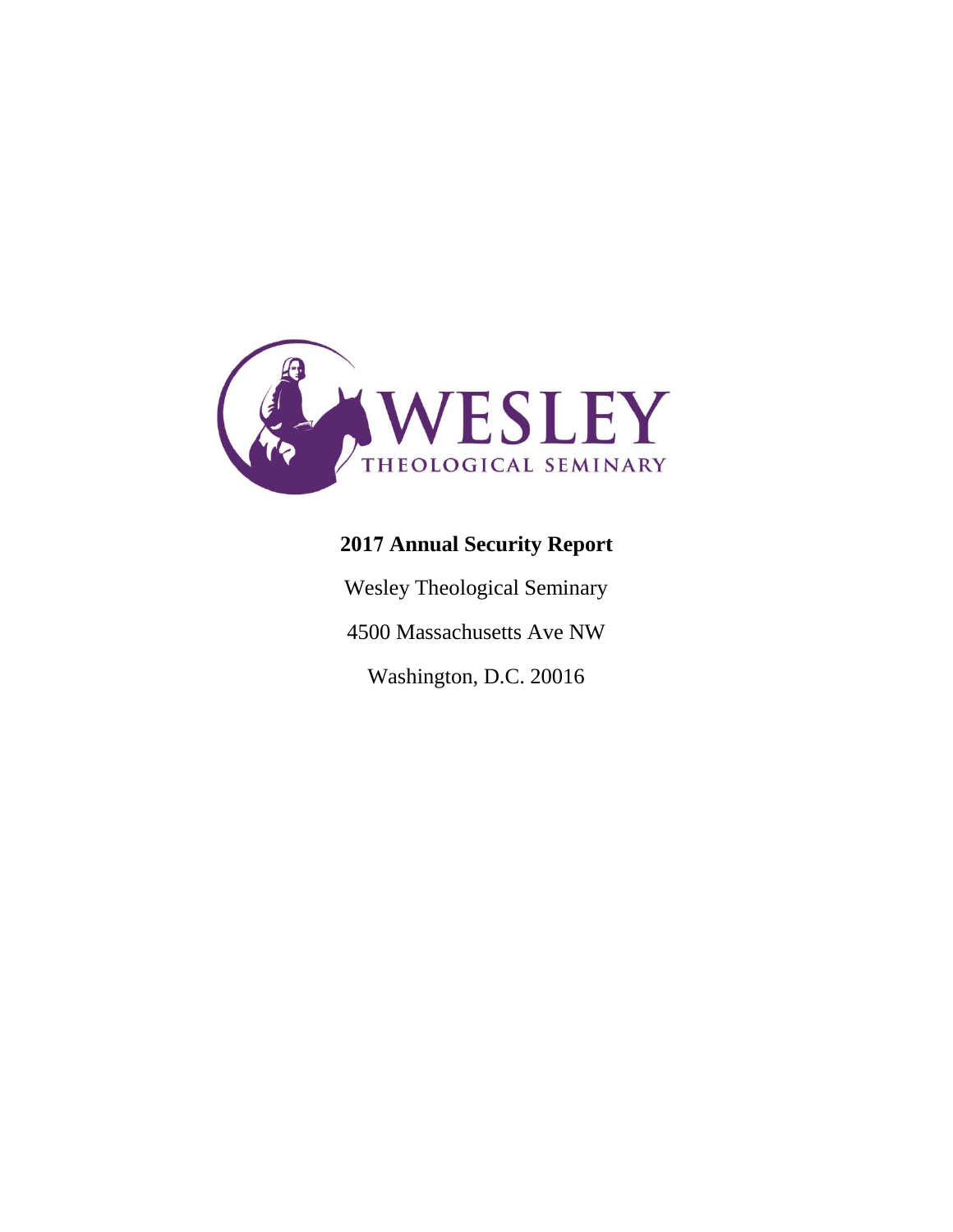

# **2017 Annual Security Report**

Wesley Theological Seminary

4500 Massachusetts Ave NW

Washington, D.C. 20016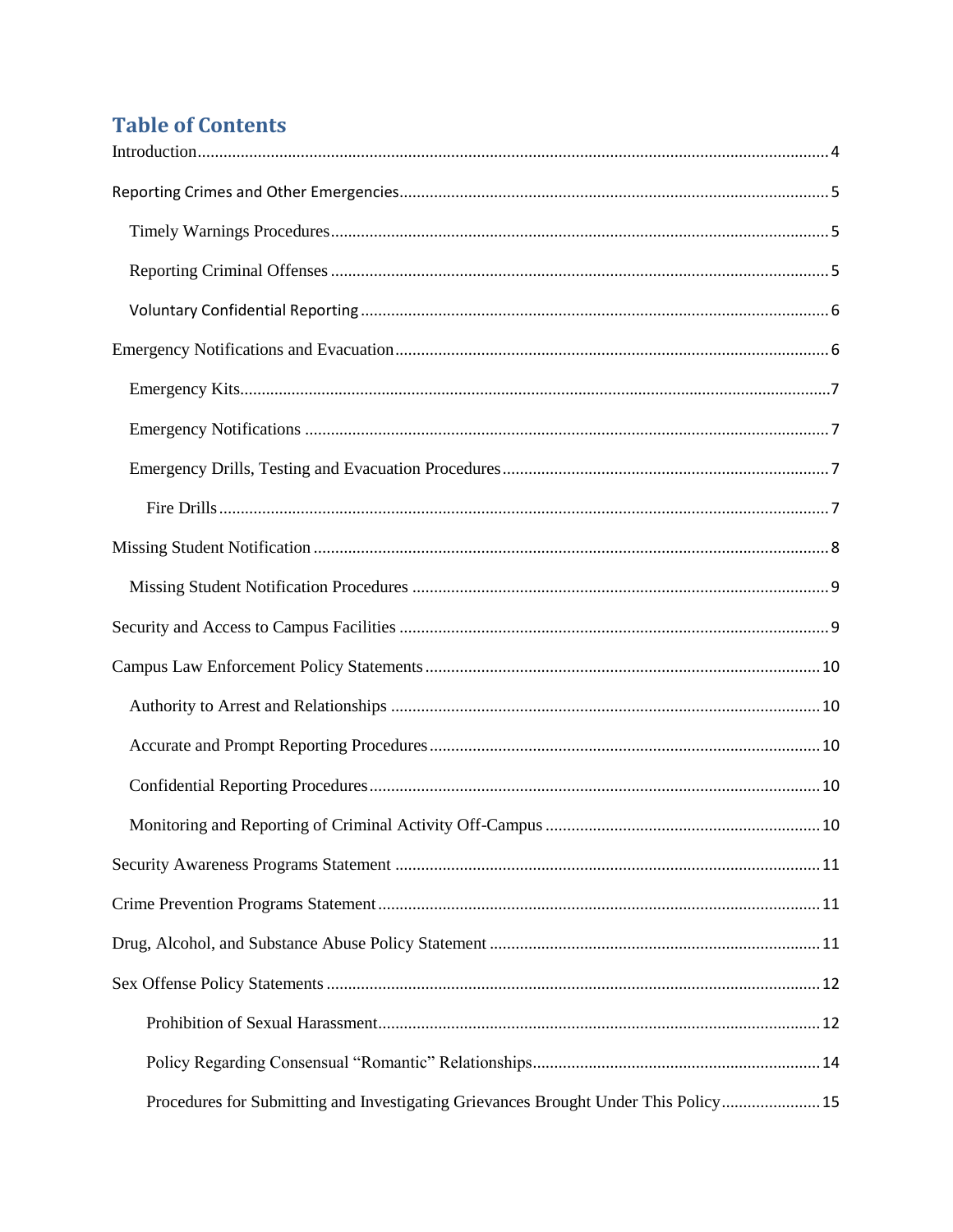## **Table of Contents**

| Procedures for Submitting and Investigating Grievances Brought Under This Policy 15 |  |
|-------------------------------------------------------------------------------------|--|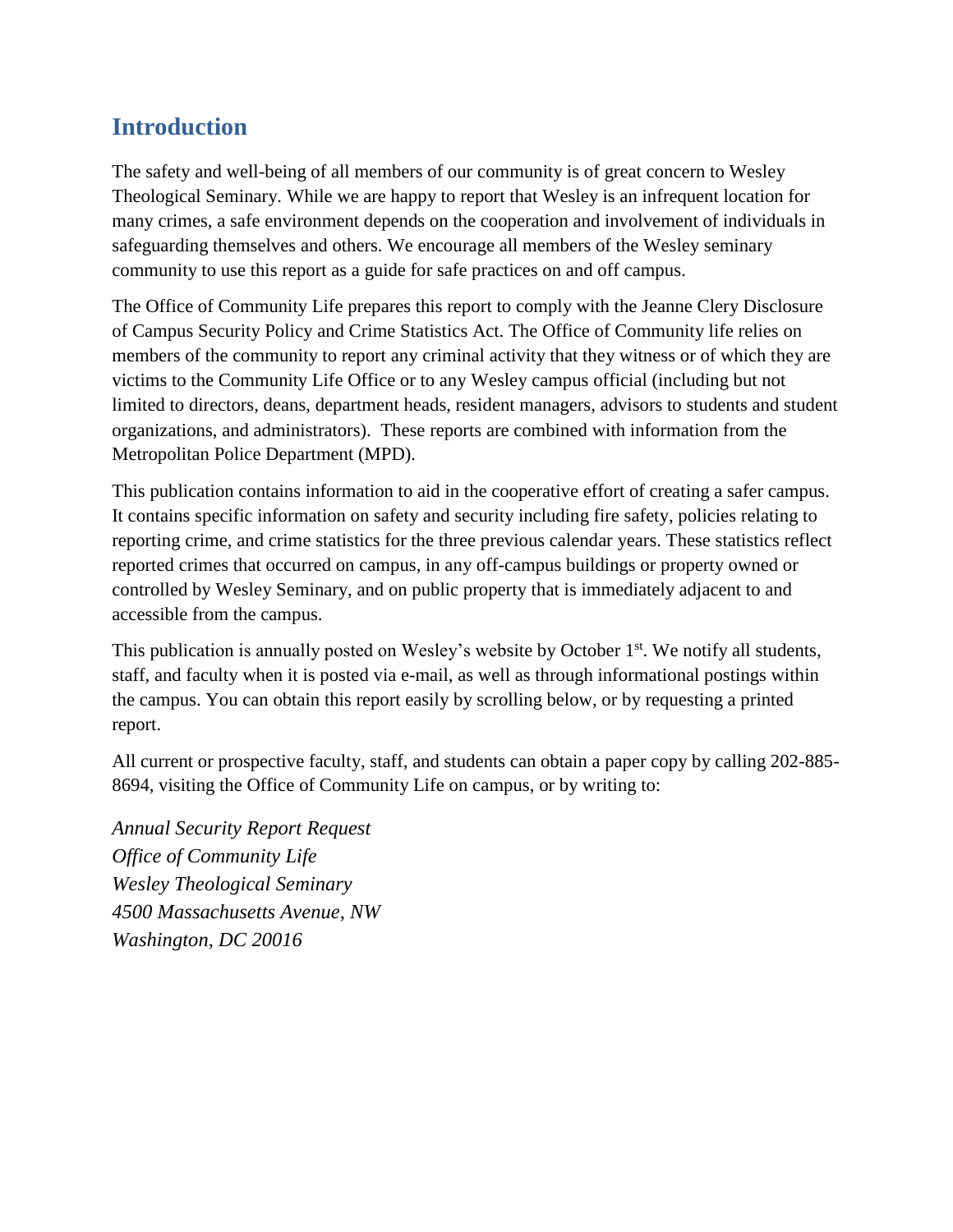## <span id="page-3-0"></span>**Introduction**

The safety and well-being of all members of our community is of great concern to Wesley Theological Seminary. While we are happy to report that Wesley is an infrequent location for many crimes, a safe environment depends on the cooperation and involvement of individuals in safeguarding themselves and others. We encourage all members of the Wesley seminary community to use this report as a guide for safe practices on and off campus.

The Office of Community Life prepares this report to comply with the Jeanne Clery Disclosure of Campus Security Policy and Crime Statistics Act. The Office of Community life relies on members of the community to report any criminal activity that they witness or of which they are victims to the Community Life Office or to any Wesley campus official (including but not limited to directors, deans, department heads, resident managers, advisors to students and student organizations, and administrators). These reports are combined with information from the Metropolitan Police Department (MPD).

This publication contains information to aid in the cooperative effort of creating a safer campus. It contains specific information on safety and security including fire safety, policies relating to reporting crime, and crime statistics for the three previous calendar years. These statistics reflect reported crimes that occurred on campus, in any off-campus buildings or property owned or controlled by Wesley Seminary, and on public property that is immediately adjacent to and accessible from the campus.

This publication is annually posted on Wesley's website by October 1<sup>st</sup>. We notify all students, staff, and faculty when it is posted via e-mail, as well as through informational postings within the campus. You can obtain this report easily by scrolling below, or by requesting a printed report.

All current or prospective faculty, staff, and students can obtain a paper copy by calling 202-885- 8694, visiting the Office of Community Life on campus, or by writing to:

*Annual Security Report Request Office of Community Life Wesley Theological Seminary 4500 Massachusetts Avenue, NW Washington, DC 20016*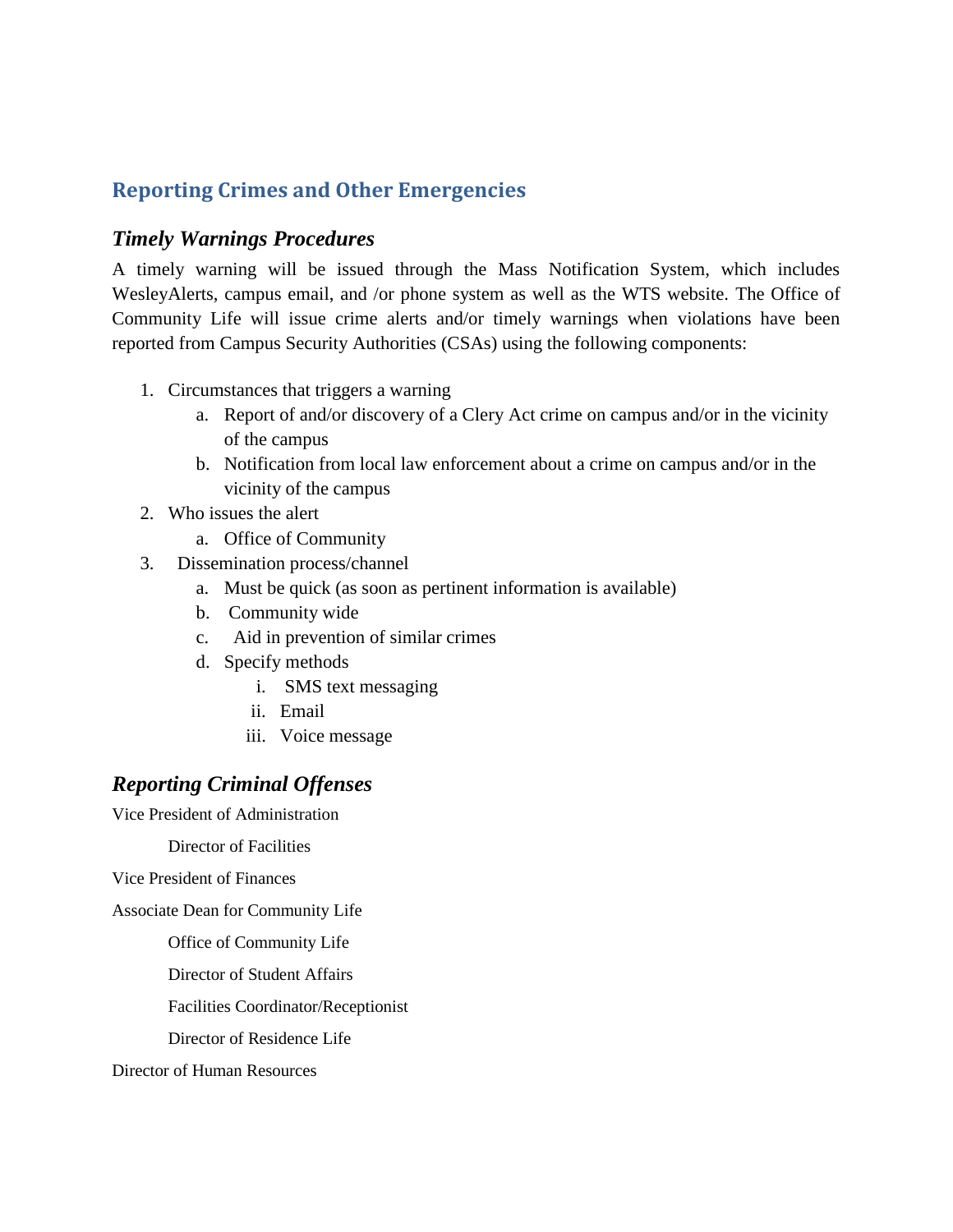### <span id="page-4-0"></span>**Reporting Crimes and Other Emergencies**

#### <span id="page-4-1"></span>*Timely Warnings Procedures*

A timely warning will be issued through the Mass Notification System, which includes WesleyAlerts, campus email, and /or phone system as well as the WTS website. The Office of Community Life will issue crime alerts and/or timely warnings when violations have been reported from Campus Security Authorities (CSAs) using the following components:

- 1. Circumstances that triggers a warning
	- a. Report of and/or discovery of a Clery Act crime on campus and/or in the vicinity of the campus
	- b. Notification from local law enforcement about a crime on campus and/or in the vicinity of the campus
- 2. Who issues the alert
	- a. Office of Community
- 3. Dissemination process/channel
	- a. Must be quick (as soon as pertinent information is available)
	- b. Community wide
	- c. Aid in prevention of similar crimes
	- d. Specify methods
		- i. SMS text messaging
		- ii. Email
		- iii. Voice message

### <span id="page-4-2"></span>*Reporting Criminal Offenses*

Vice President of Administration

Director of Facilities

Vice President of Finances

Associate Dean for Community Life

Office of Community Life

Director of Student Affairs

Facilities Coordinator/Receptionist

Director of Residence Life

Director of Human Resources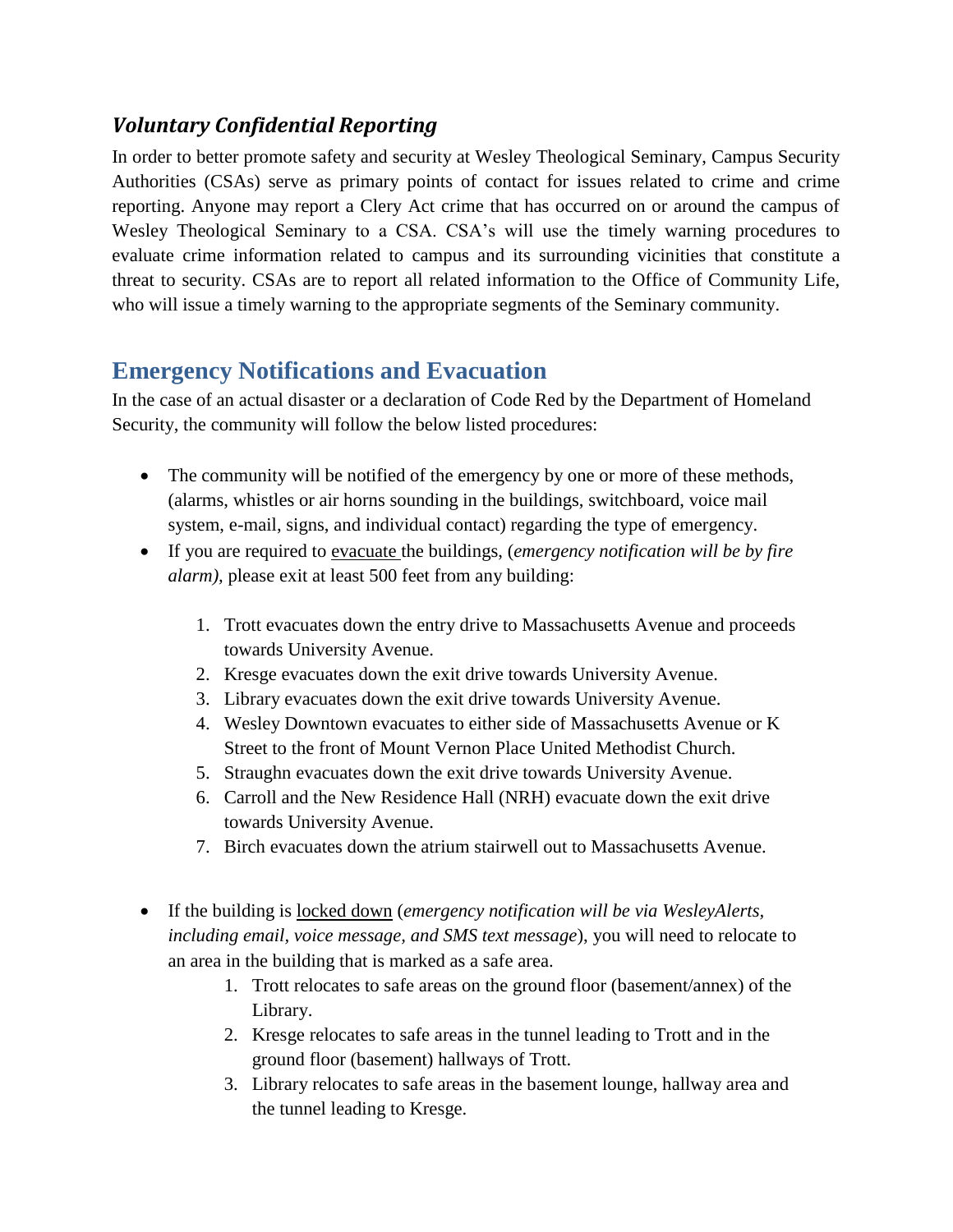### <span id="page-5-0"></span>*Voluntary Confidential Reporting*

In order to better promote safety and security at Wesley Theological Seminary, Campus Security Authorities (CSAs) serve as primary points of contact for issues related to crime and crime reporting. Anyone may report a Clery Act crime that has occurred on or around the campus of Wesley Theological Seminary to a CSA. CSA's will use the timely warning procedures to evaluate crime information related to campus and its surrounding vicinities that constitute a threat to security. CSAs are to report all related information to the Office of Community Life, who will issue a timely warning to the appropriate segments of the Seminary community.

### <span id="page-5-1"></span>**Emergency Notifications and Evacuation**

In the case of an actual disaster or a declaration of Code Red by the Department of Homeland Security, the community will follow the below listed procedures:

- The community will be notified of the emergency by one or more of these methods, (alarms, whistles or air horns sounding in the buildings, switchboard, voice mail system, e-mail, signs, and individual contact) regarding the type of emergency.
- If you are required to evacuate the buildings, (*emergency notification will be by fire alarm),* please exit at least 500 feet from any building:
	- 1. Trott evacuates down the entry drive to Massachusetts Avenue and proceeds towards University Avenue.
	- 2. Kresge evacuates down the exit drive towards University Avenue.
	- 3. Library evacuates down the exit drive towards University Avenue.
	- 4. Wesley Downtown evacuates to either side of Massachusetts Avenue or K Street to the front of Mount Vernon Place United Methodist Church.
	- 5. Straughn evacuates down the exit drive towards University Avenue.
	- 6. Carroll and the New Residence Hall (NRH) evacuate down the exit drive towards University Avenue.
	- 7. Birch evacuates down the atrium stairwell out to Massachusetts Avenue.
- If the building is locked down (*emergency notification will be via WesleyAlerts, including email, voice message, and SMS text message*), you will need to relocate to an area in the building that is marked as a safe area.
	- 1. Trott relocates to safe areas on the ground floor (basement/annex) of the Library.
	- 2. Kresge relocates to safe areas in the tunnel leading to Trott and in the ground floor (basement) hallways of Trott.
	- 3. Library relocates to safe areas in the basement lounge, hallway area and the tunnel leading to Kresge.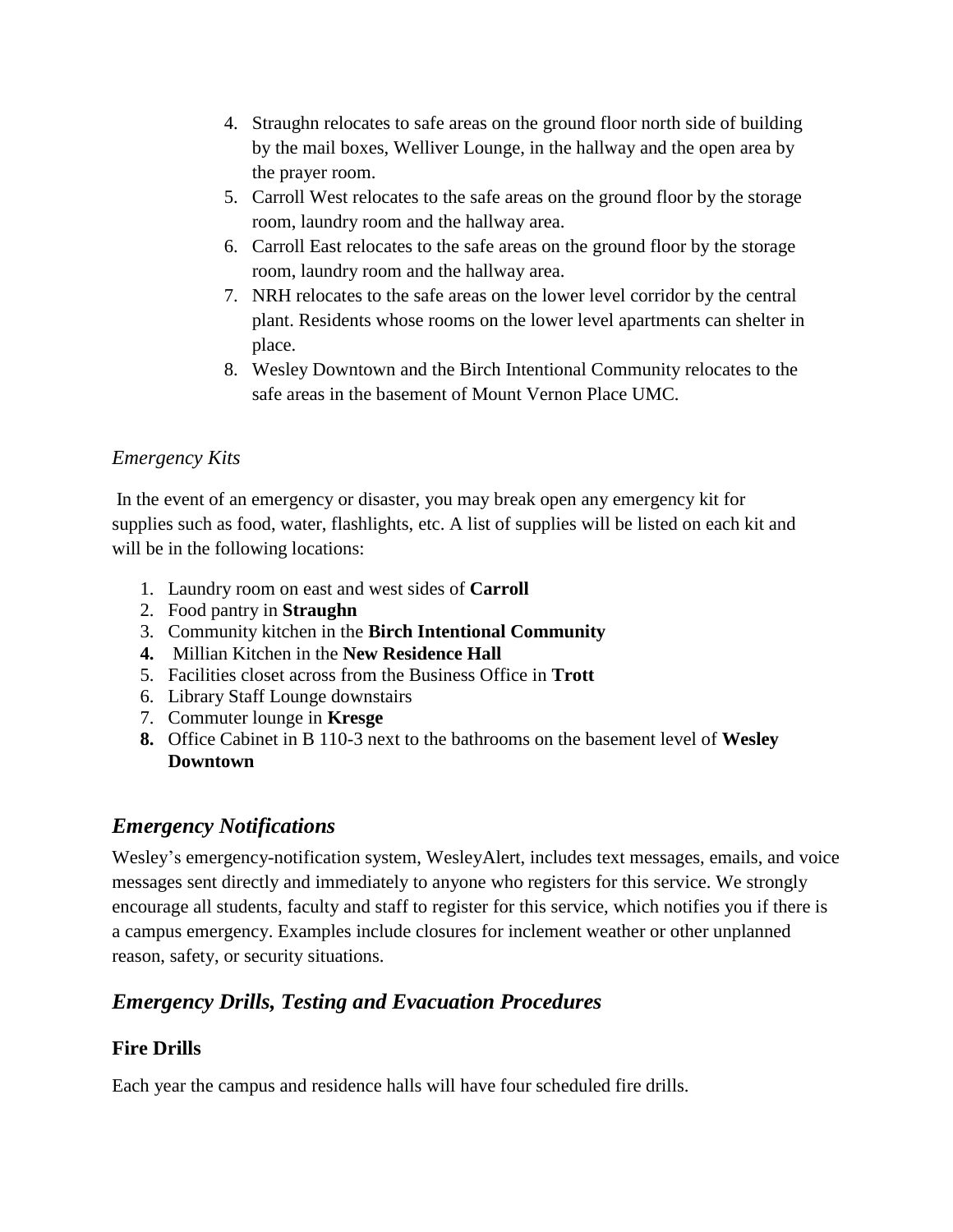- 4. Straughn relocates to safe areas on the ground floor north side of building by the mail boxes, Welliver Lounge, in the hallway and the open area by the prayer room.
- 5. Carroll West relocates to the safe areas on the ground floor by the storage room, laundry room and the hallway area.
- 6. Carroll East relocates to the safe areas on the ground floor by the storage room, laundry room and the hallway area.
- 7. NRH relocates to the safe areas on the lower level corridor by the central plant. Residents whose rooms on the lower level apartments can shelter in place.
- 8. Wesley Downtown and the Birch Intentional Community relocates to the safe areas in the basement of Mount Vernon Place UMC.

### *Emergency Kits*

In the event of an emergency or disaster, you may break open any emergency kit for supplies such as food, water, flashlights, etc. A list of supplies will be listed on each kit and will be in the following locations:

- 1. Laundry room on east and west sides of **Carroll**
- 2. Food pantry in **Straughn**
- 3. Community kitchen in the **Birch Intentional Community**
- **4.** Millian Kitchen in the **New Residence Hall**
- 5. Facilities closet across from the Business Office in **Trott**
- 6. Library Staff Lounge downstairs
- 7. Commuter lounge in **Kresge**
- **8.** Office Cabinet in B 110-3 next to the bathrooms on the basement level of **Wesley Downtown**

### <span id="page-6-0"></span>*Emergency Notifications*

Wesley's emergency-notification system, WesleyAlert, includes text messages, emails, and voice messages sent directly and immediately to anyone who registers for this service. We strongly encourage all students, faculty and staff to register for this service, which notifies you if there is a campus emergency. Examples include closures for inclement weather or other unplanned reason, safety, or security situations.

### <span id="page-6-1"></span>*Emergency Drills, Testing and Evacuation Procedures*

### <span id="page-6-2"></span>**Fire Drills**

Each year the campus and residence halls will have four scheduled fire drills.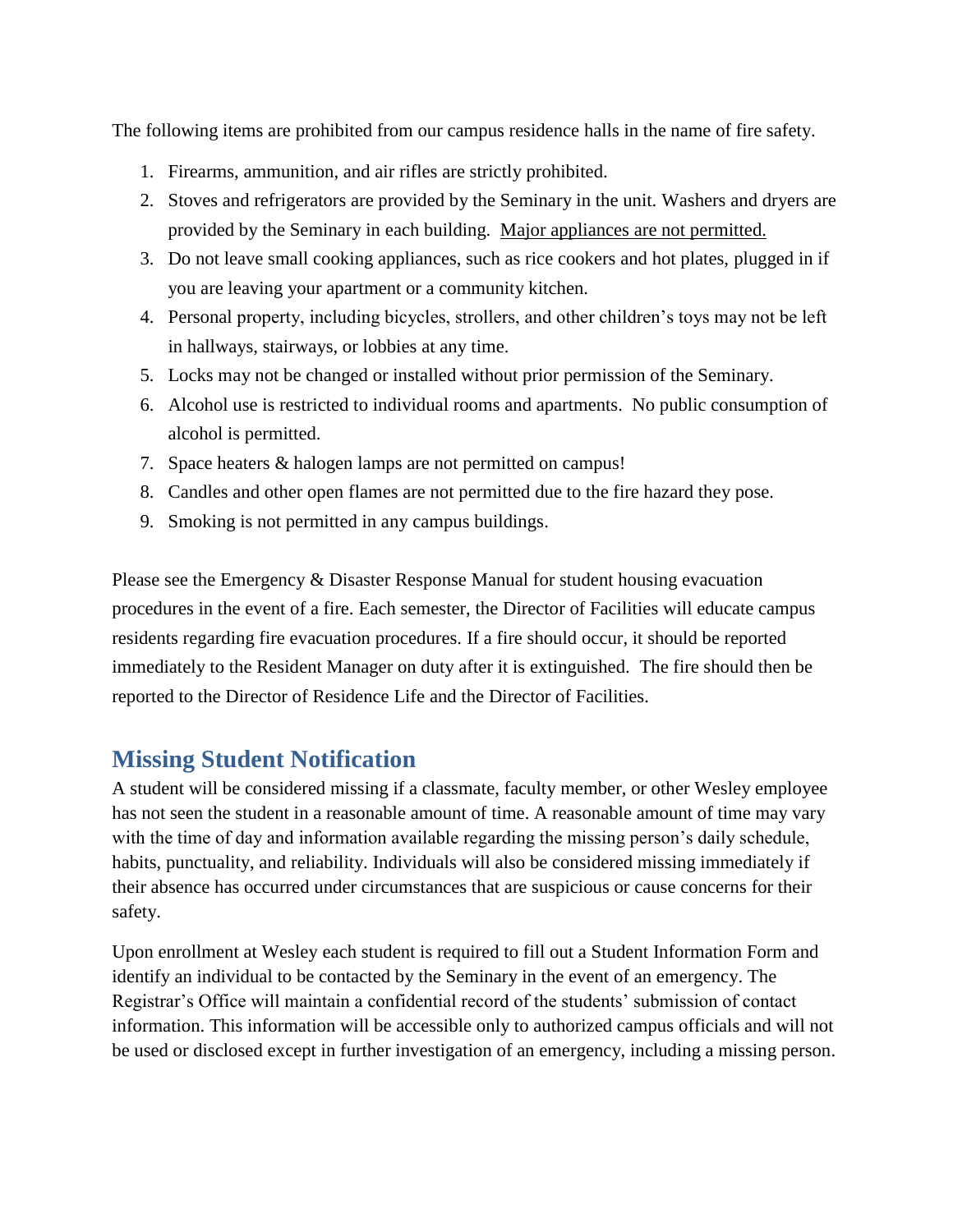The following items are prohibited from our campus residence halls in the name of fire safety.

- 1. Firearms, ammunition, and air rifles are strictly prohibited.
- 2. Stoves and refrigerators are provided by the Seminary in the unit. Washers and dryers are provided by the Seminary in each building. Major appliances are not permitted.
- 3. Do not leave small cooking appliances, such as rice cookers and hot plates, plugged in if you are leaving your apartment or a community kitchen.
- 4. Personal property, including bicycles, strollers, and other children's toys may not be left in hallways, stairways, or lobbies at any time.
- 5. Locks may not be changed or installed without prior permission of the Seminary.
- 6. Alcohol use is restricted to individual rooms and apartments. No public consumption of alcohol is permitted.
- 7. Space heaters & halogen lamps are not permitted on campus!
- 8. Candles and other open flames are not permitted due to the fire hazard they pose.
- 9. Smoking is not permitted in any campus buildings.

Please see the Emergency & Disaster Response Manual for student housing evacuation procedures in the event of a fire. Each semester, the Director of Facilities will educate campus residents regarding fire evacuation procedures. If a fire should occur, it should be reported immediately to the Resident Manager on duty after it is extinguished. The fire should then be reported to the Director of Residence Life and the Director of Facilities.

### <span id="page-7-0"></span>**Missing Student Notification**

A student will be considered missing if a classmate, faculty member, or other Wesley employee has not seen the student in a reasonable amount of time. A reasonable amount of time may vary with the time of day and information available regarding the missing person's daily schedule, habits, punctuality, and reliability. Individuals will also be considered missing immediately if their absence has occurred under circumstances that are suspicious or cause concerns for their safety.

Upon enrollment at Wesley each student is required to fill out a Student Information Form and identify an individual to be contacted by the Seminary in the event of an emergency. The Registrar's Office will maintain a confidential record of the students' submission of contact information. This information will be accessible only to authorized campus officials and will not be used or disclosed except in further investigation of an emergency, including a missing person.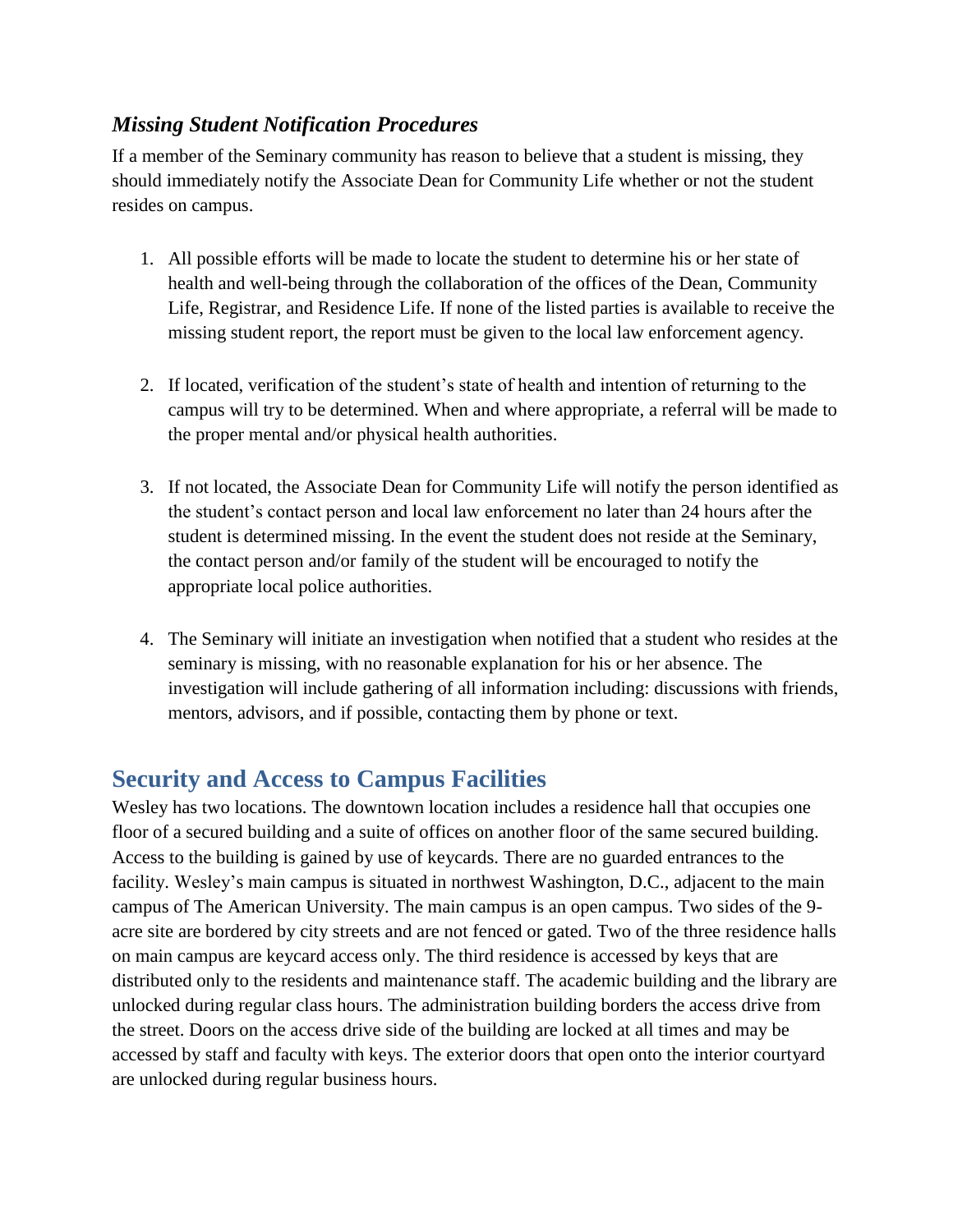### <span id="page-8-0"></span>*Missing Student Notification Procedures*

If a member of the Seminary community has reason to believe that a student is missing, they should immediately notify the Associate Dean for Community Life whether or not the student resides on campus.

- 1. All possible efforts will be made to locate the student to determine his or her state of health and well-being through the collaboration of the offices of the Dean, Community Life, Registrar, and Residence Life. If none of the listed parties is available to receive the missing student report, the report must be given to the local law enforcement agency.
- 2. If located, verification of the student's state of health and intention of returning to the campus will try to be determined. When and where appropriate, a referral will be made to the proper mental and/or physical health authorities.
- 3. If not located, the Associate Dean for Community Life will notify the person identified as the student's contact person and local law enforcement no later than 24 hours after the student is determined missing. In the event the student does not reside at the Seminary, the contact person and/or family of the student will be encouraged to notify the appropriate local police authorities.
- 4. The Seminary will initiate an investigation when notified that a student who resides at the seminary is missing, with no reasonable explanation for his or her absence. The investigation will include gathering of all information including: discussions with friends, mentors, advisors, and if possible, contacting them by phone or text.

### <span id="page-8-1"></span>**Security and Access to Campus Facilities**

Wesley has two locations. The downtown location includes a residence hall that occupies one floor of a secured building and a suite of offices on another floor of the same secured building. Access to the building is gained by use of keycards. There are no guarded entrances to the facility. Wesley's main campus is situated in northwest Washington, D.C., adjacent to the main campus of The American University. The main campus is an open campus. Two sides of the 9 acre site are bordered by city streets and are not fenced or gated. Two of the three residence halls on main campus are keycard access only. The third residence is accessed by keys that are distributed only to the residents and maintenance staff. The academic building and the library are unlocked during regular class hours. The administration building borders the access drive from the street. Doors on the access drive side of the building are locked at all times and may be accessed by staff and faculty with keys. The exterior doors that open onto the interior courtyard are unlocked during regular business hours.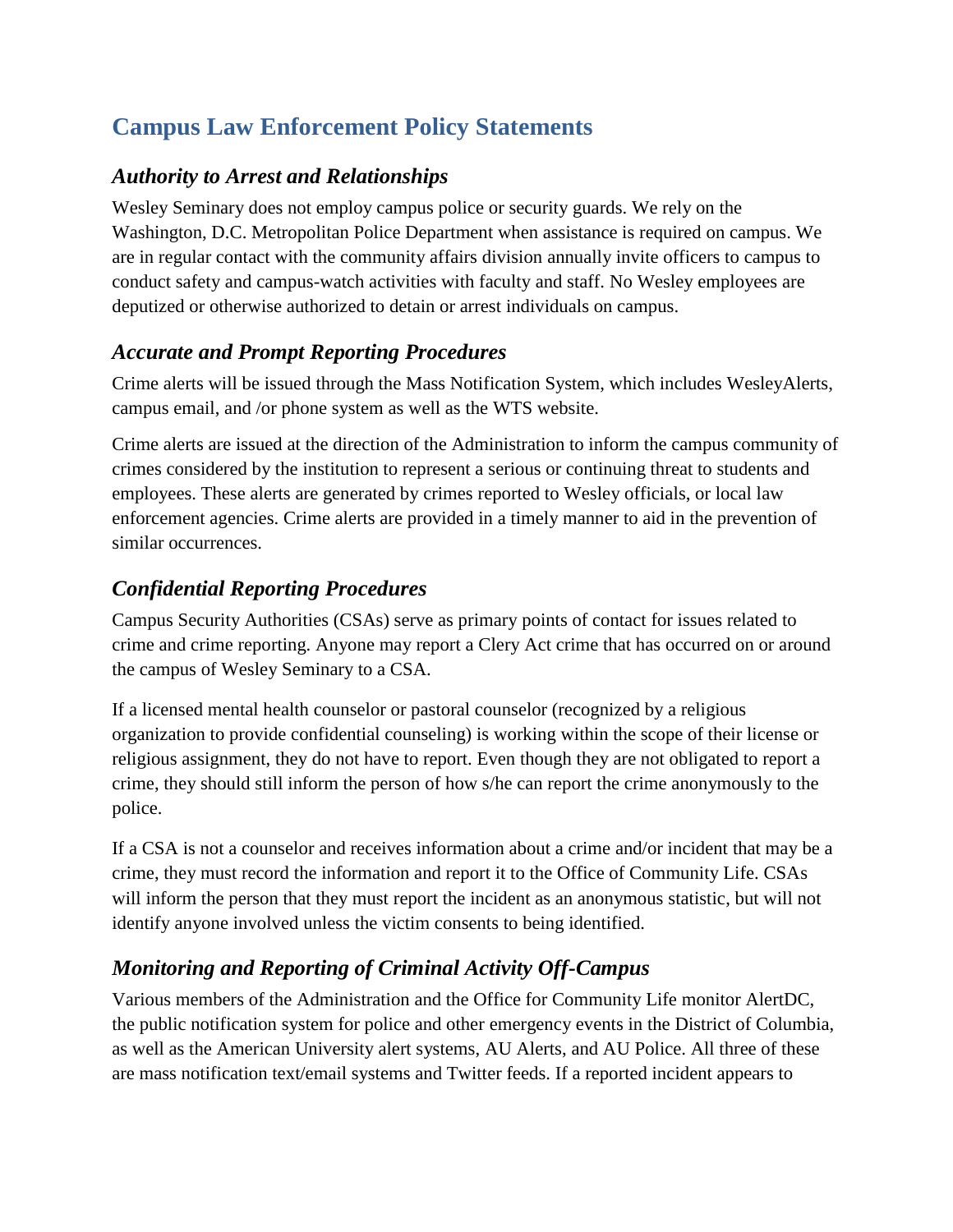# <span id="page-9-0"></span>**Campus Law Enforcement Policy Statements**

### <span id="page-9-1"></span>*Authority to Arrest and Relationships*

Wesley Seminary does not employ campus police or security guards. We rely on the Washington, D.C. Metropolitan Police Department when assistance is required on campus. We are in regular contact with the community affairs division annually invite officers to campus to conduct safety and campus-watch activities with faculty and staff. No Wesley employees are deputized or otherwise authorized to detain or arrest individuals on campus.

### <span id="page-9-2"></span>*Accurate and Prompt Reporting Procedures*

Crime alerts will be issued through the Mass Notification System, which includes WesleyAlerts, campus email, and /or phone system as well as the WTS website.

Crime alerts are issued at the direction of the Administration to inform the campus community of crimes considered by the institution to represent a serious or continuing threat to students and employees. These alerts are generated by crimes reported to Wesley officials, or local law enforcement agencies. Crime alerts are provided in a timely manner to aid in the prevention of similar occurrences.

### <span id="page-9-3"></span>*Confidential Reporting Procedures*

Campus Security Authorities (CSAs) serve as primary points of contact for issues related to crime and crime reporting. Anyone may report a Clery Act crime that has occurred on or around the campus of Wesley Seminary to a CSA.

If a licensed mental health counselor or pastoral counselor (recognized by a religious organization to provide confidential counseling) is working within the scope of their license or religious assignment, they do not have to report. Even though they are not obligated to report a crime, they should still inform the person of how s/he can report the crime anonymously to the police.

If a CSA is not a counselor and receives information about a crime and/or incident that may be a crime, they must record the information and report it to the Office of Community Life. CSAs will inform the person that they must report the incident as an anonymous statistic, but will not identify anyone involved unless the victim consents to being identified.

## <span id="page-9-4"></span>*Monitoring and Reporting of Criminal Activity Off-Campus*

Various members of the Administration and the Office for Community Life monitor AlertDC, the public notification system for police and other emergency events in the District of Columbia, as well as the American University alert systems, AU Alerts, and AU Police. All three of these are mass notification text/email systems and Twitter feeds. If a reported incident appears to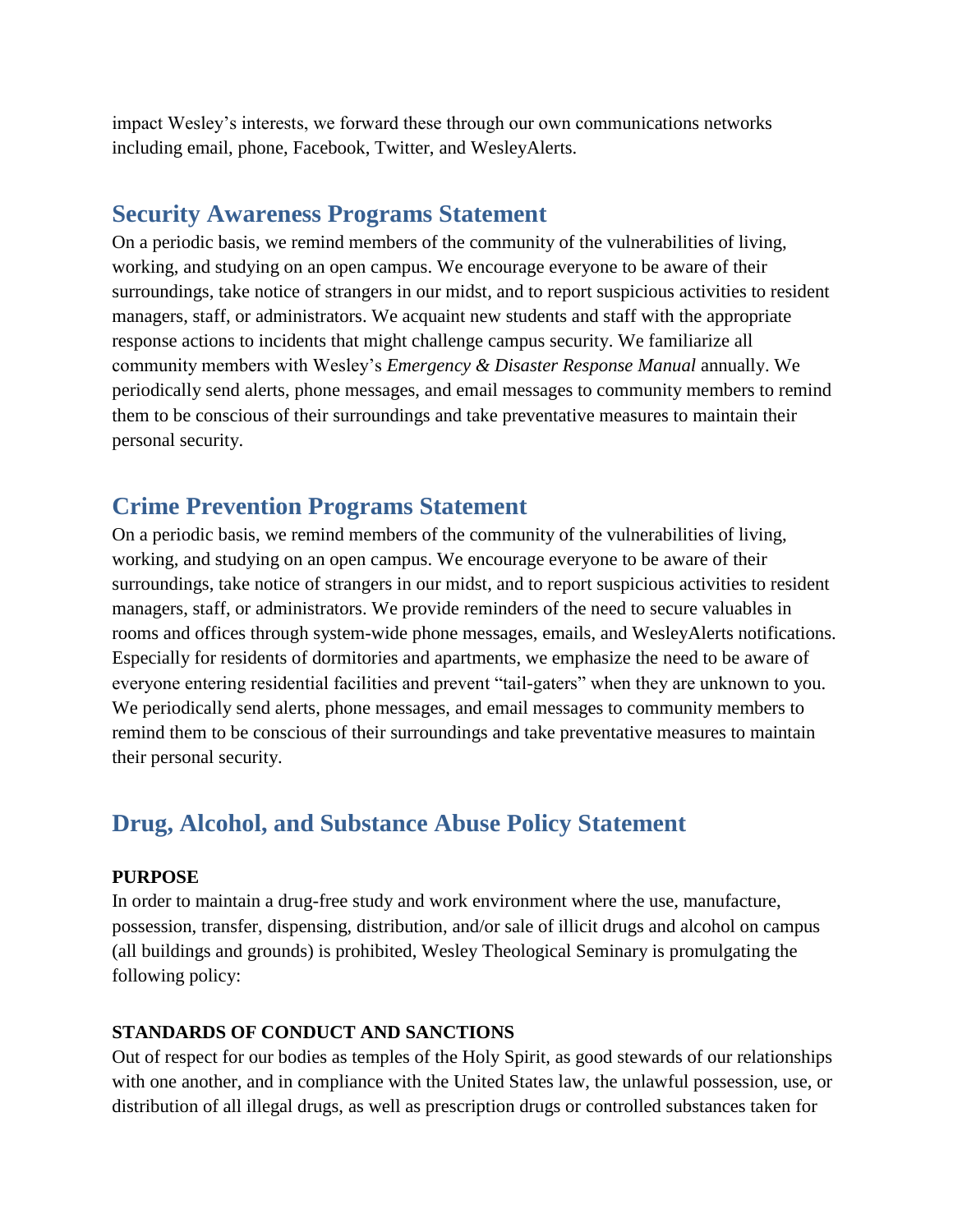impact Wesley's interests, we forward these through our own communications networks including email, phone, Facebook, Twitter, and WesleyAlerts.

### <span id="page-10-0"></span>**Security Awareness Programs Statement**

On a periodic basis, we remind members of the community of the vulnerabilities of living, working, and studying on an open campus. We encourage everyone to be aware of their surroundings, take notice of strangers in our midst, and to report suspicious activities to resident managers, staff, or administrators. We acquaint new students and staff with the appropriate response actions to incidents that might challenge campus security. We familiarize all community members with Wesley's *Emergency & Disaster Response Manual* annually. We periodically send alerts, phone messages, and email messages to community members to remind them to be conscious of their surroundings and take preventative measures to maintain their personal security.

### <span id="page-10-1"></span>**Crime Prevention Programs Statement**

On a periodic basis, we remind members of the community of the vulnerabilities of living, working, and studying on an open campus. We encourage everyone to be aware of their surroundings, take notice of strangers in our midst, and to report suspicious activities to resident managers, staff, or administrators. We provide reminders of the need to secure valuables in rooms and offices through system-wide phone messages, emails, and WesleyAlerts notifications. Especially for residents of dormitories and apartments, we emphasize the need to be aware of everyone entering residential facilities and prevent "tail-gaters" when they are unknown to you. We periodically send alerts, phone messages, and email messages to community members to remind them to be conscious of their surroundings and take preventative measures to maintain their personal security.

### <span id="page-10-2"></span>**Drug, Alcohol, and Substance Abuse Policy Statement**

#### **PURPOSE**

In order to maintain a drug-free study and work environment where the use, manufacture, possession, transfer, dispensing, distribution, and/or sale of illicit drugs and alcohol on campus (all buildings and grounds) is prohibited, Wesley Theological Seminary is promulgating the following policy:

#### **STANDARDS OF CONDUCT AND SANCTIONS**

Out of respect for our bodies as temples of the Holy Spirit, as good stewards of our relationships with one another, and in compliance with the United States law, the unlawful possession, use, or distribution of all illegal drugs, as well as prescription drugs or controlled substances taken for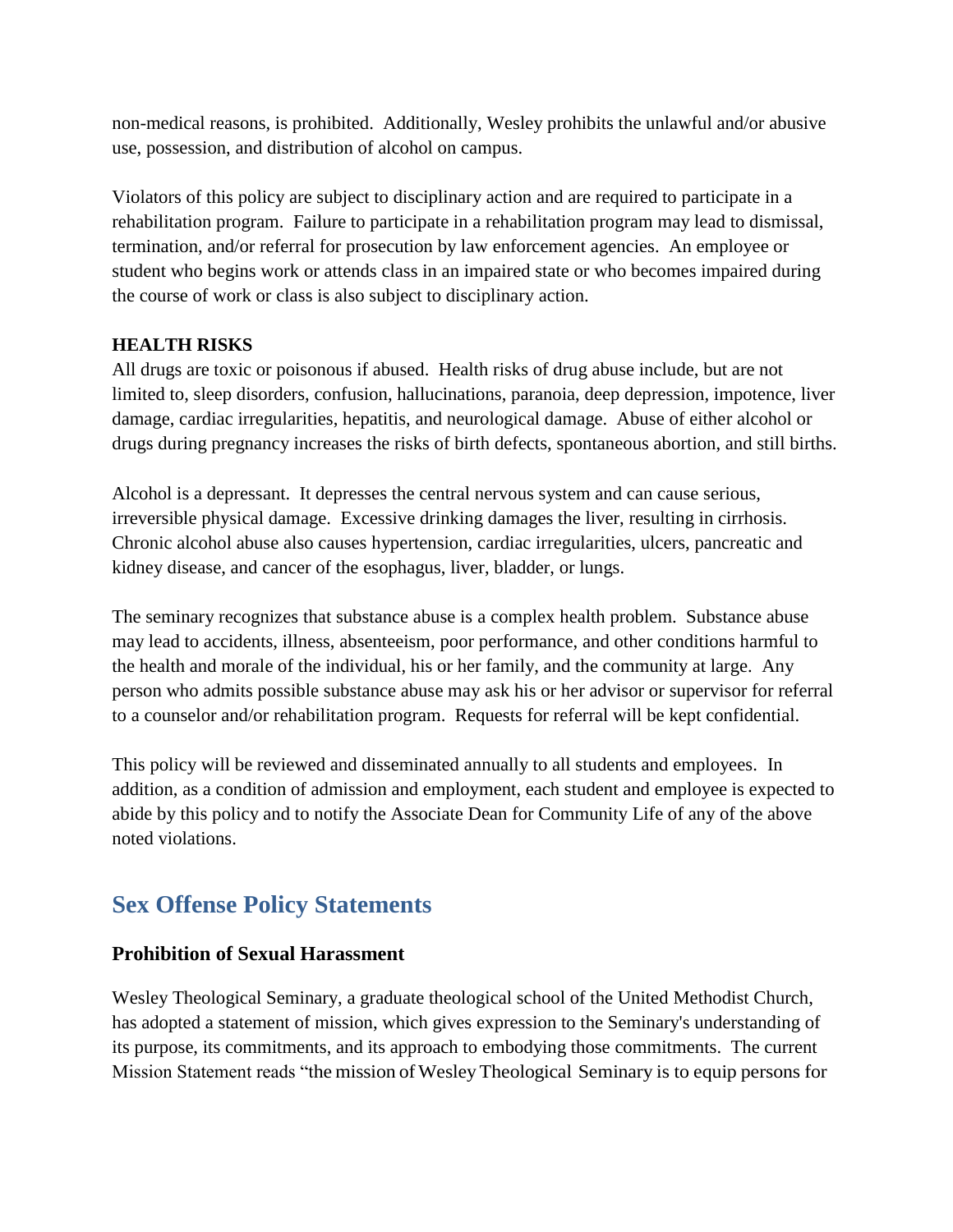non-medical reasons, is prohibited. Additionally, Wesley prohibits the unlawful and/or abusive use, possession, and distribution of alcohol on campus.

Violators of this policy are subject to disciplinary action and are required to participate in a rehabilitation program. Failure to participate in a rehabilitation program may lead to dismissal, termination, and/or referral for prosecution by law enforcement agencies. An employee or student who begins work or attends class in an impaired state or who becomes impaired during the course of work or class is also subject to disciplinary action.

#### **HEALTH RISKS**

All drugs are toxic or poisonous if abused. Health risks of drug abuse include, but are not limited to, sleep disorders, confusion, hallucinations, paranoia, deep depression, impotence, liver damage, cardiac irregularities, hepatitis, and neurological damage. Abuse of either alcohol or drugs during pregnancy increases the risks of birth defects, spontaneous abortion, and still births.

Alcohol is a depressant. It depresses the central nervous system and can cause serious, irreversible physical damage. Excessive drinking damages the liver, resulting in cirrhosis. Chronic alcohol abuse also causes hypertension, cardiac irregularities, ulcers, pancreatic and kidney disease, and cancer of the esophagus, liver, bladder, or lungs.

The seminary recognizes that substance abuse is a complex health problem. Substance abuse may lead to accidents, illness, absenteeism, poor performance, and other conditions harmful to the health and morale of the individual, his or her family, and the community at large. Any person who admits possible substance abuse may ask his or her advisor or supervisor for referral to a counselor and/or rehabilitation program. Requests for referral will be kept confidential.

This policy will be reviewed and disseminated annually to all students and employees. In addition, as a condition of admission and employment, each student and employee is expected to abide by this policy and to notify the Associate Dean for Community Life of any of the above noted violations.

## <span id="page-11-0"></span>**Sex Offense Policy Statements**

#### <span id="page-11-1"></span>**Prohibition of Sexual Harassment**

Wesley Theological Seminary, a graduate theological school of the United Methodist Church, has adopted a statement of mission, which gives expression to the Seminary's understanding of its purpose, its commitments, and its approach to embodying those commitments. The current Mission Statement reads "the mission of Wesley Theological Seminary is to equip persons for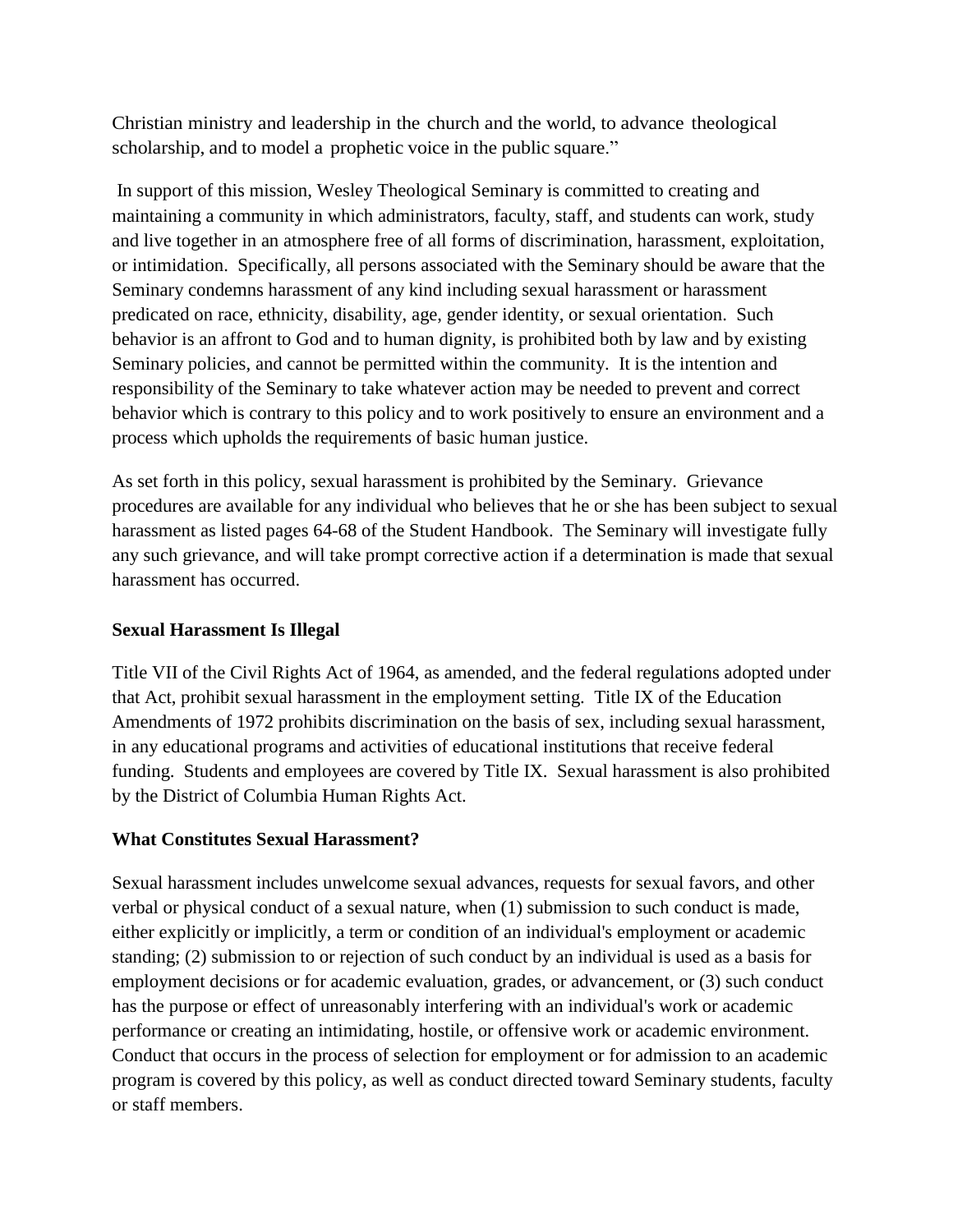Christian ministry and leadership in the church and the world, to advance theological scholarship, and to model a prophetic voice in the public square."

 In support of this mission, Wesley Theological Seminary is committed to creating and maintaining a community in which administrators, faculty, staff, and students can work, study and live together in an atmosphere free of all forms of discrimination, harassment, exploitation, or intimidation. Specifically, all persons associated with the Seminary should be aware that the Seminary condemns harassment of any kind including sexual harassment or harassment predicated on race, ethnicity, disability, age, gender identity, or sexual orientation. Such behavior is an affront to God and to human dignity, is prohibited both by law and by existing Seminary policies, and cannot be permitted within the community. It is the intention and responsibility of the Seminary to take whatever action may be needed to prevent and correct behavior which is contrary to this policy and to work positively to ensure an environment and a process which upholds the requirements of basic human justice.

As set forth in this policy, sexual harassment is prohibited by the Seminary. Grievance procedures are available for any individual who believes that he or she has been subject to sexual harassment as listed pages 64-68 of the Student Handbook. The Seminary will investigate fully any such grievance, and will take prompt corrective action if a determination is made that sexual harassment has occurred.

#### **Sexual Harassment Is Illegal**

Title VII of the Civil Rights Act of 1964, as amended, and the federal regulations adopted under that Act, prohibit sexual harassment in the employment setting. Title IX of the Education Amendments of 1972 prohibits discrimination on the basis of sex, including sexual harassment, in any educational programs and activities of educational institutions that receive federal funding. Students and employees are covered by Title IX. Sexual harassment is also prohibited by the District of Columbia Human Rights Act.

#### **What Constitutes Sexual Harassment?**

Sexual harassment includes unwelcome sexual advances, requests for sexual favors, and other verbal or physical conduct of a sexual nature, when (1) submission to such conduct is made, either explicitly or implicitly, a term or condition of an individual's employment or academic standing; (2) submission to or rejection of such conduct by an individual is used as a basis for employment decisions or for academic evaluation, grades, or advancement, or (3) such conduct has the purpose or effect of unreasonably interfering with an individual's work or academic performance or creating an intimidating, hostile, or offensive work or academic environment. Conduct that occurs in the process of selection for employment or for admission to an academic program is covered by this policy, as well as conduct directed toward Seminary students, faculty or staff members.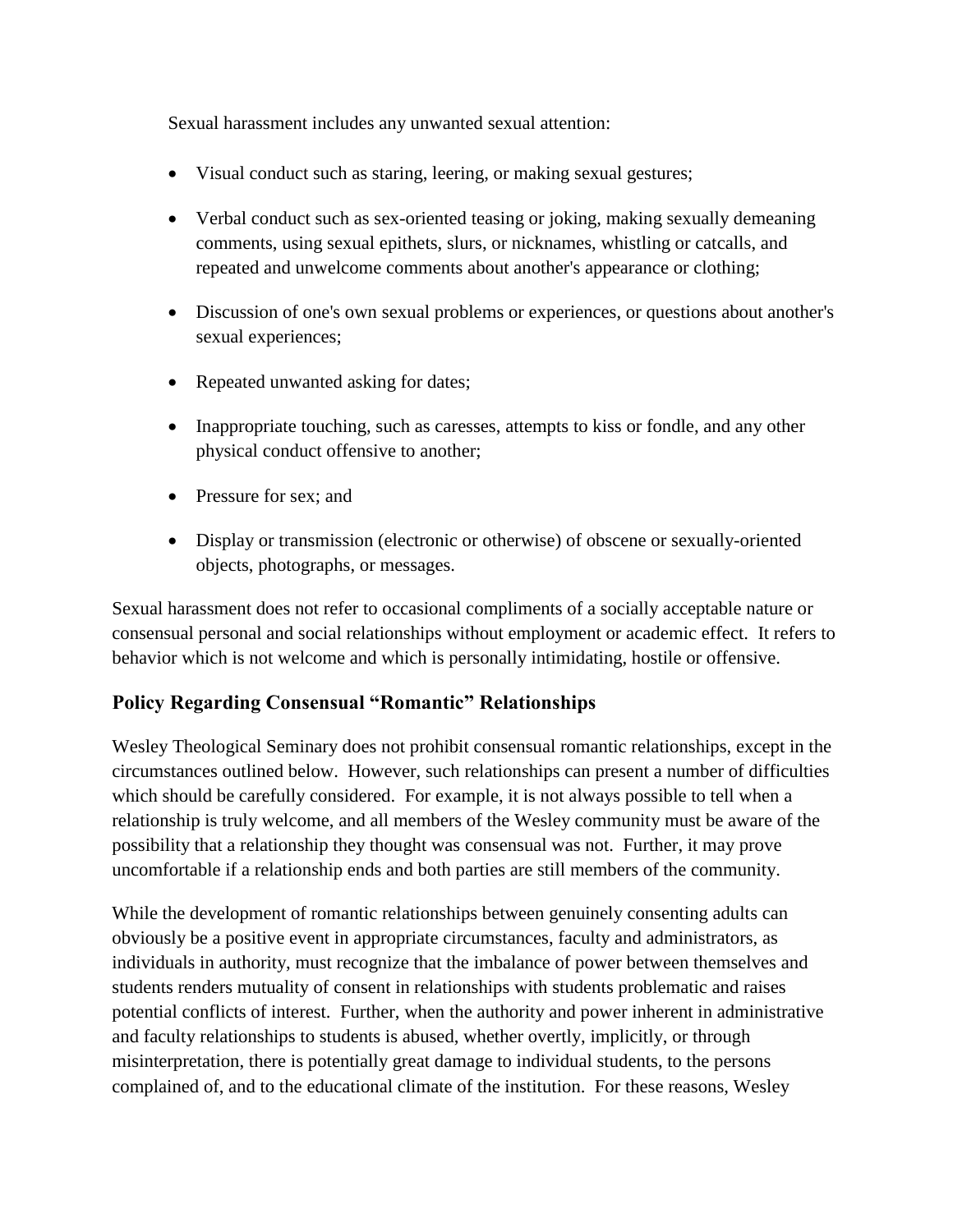Sexual harassment includes any unwanted sexual attention:

- Visual conduct such as staring, leering, or making sexual gestures;
- Verbal conduct such as sex-oriented teasing or joking, making sexually demeaning comments, using sexual epithets, slurs, or nicknames, whistling or catcalls, and repeated and unwelcome comments about another's appearance or clothing;
- Discussion of one's own sexual problems or experiences, or questions about another's sexual experiences;
- Repeated unwanted asking for dates;
- Inappropriate touching, such as caresses, attempts to kiss or fondle, and any other physical conduct offensive to another;
- Pressure for sex; and
- Display or transmission (electronic or otherwise) of obscene or sexually-oriented objects, photographs, or messages.

Sexual harassment does not refer to occasional compliments of a socially acceptable nature or consensual personal and social relationships without employment or academic effect. It refers to behavior which is not welcome and which is personally intimidating, hostile or offensive.

#### <span id="page-13-0"></span>**Policy Regarding Consensual "Romantic" Relationships**

Wesley Theological Seminary does not prohibit consensual romantic relationships, except in the circumstances outlined below. However, such relationships can present a number of difficulties which should be carefully considered. For example, it is not always possible to tell when a relationship is truly welcome, and all members of the Wesley community must be aware of the possibility that a relationship they thought was consensual was not. Further, it may prove uncomfortable if a relationship ends and both parties are still members of the community.

While the development of romantic relationships between genuinely consenting adults can obviously be a positive event in appropriate circumstances, faculty and administrators, as individuals in authority, must recognize that the imbalance of power between themselves and students renders mutuality of consent in relationships with students problematic and raises potential conflicts of interest. Further, when the authority and power inherent in administrative and faculty relationships to students is abused, whether overtly, implicitly, or through misinterpretation, there is potentially great damage to individual students, to the persons complained of, and to the educational climate of the institution. For these reasons, Wesley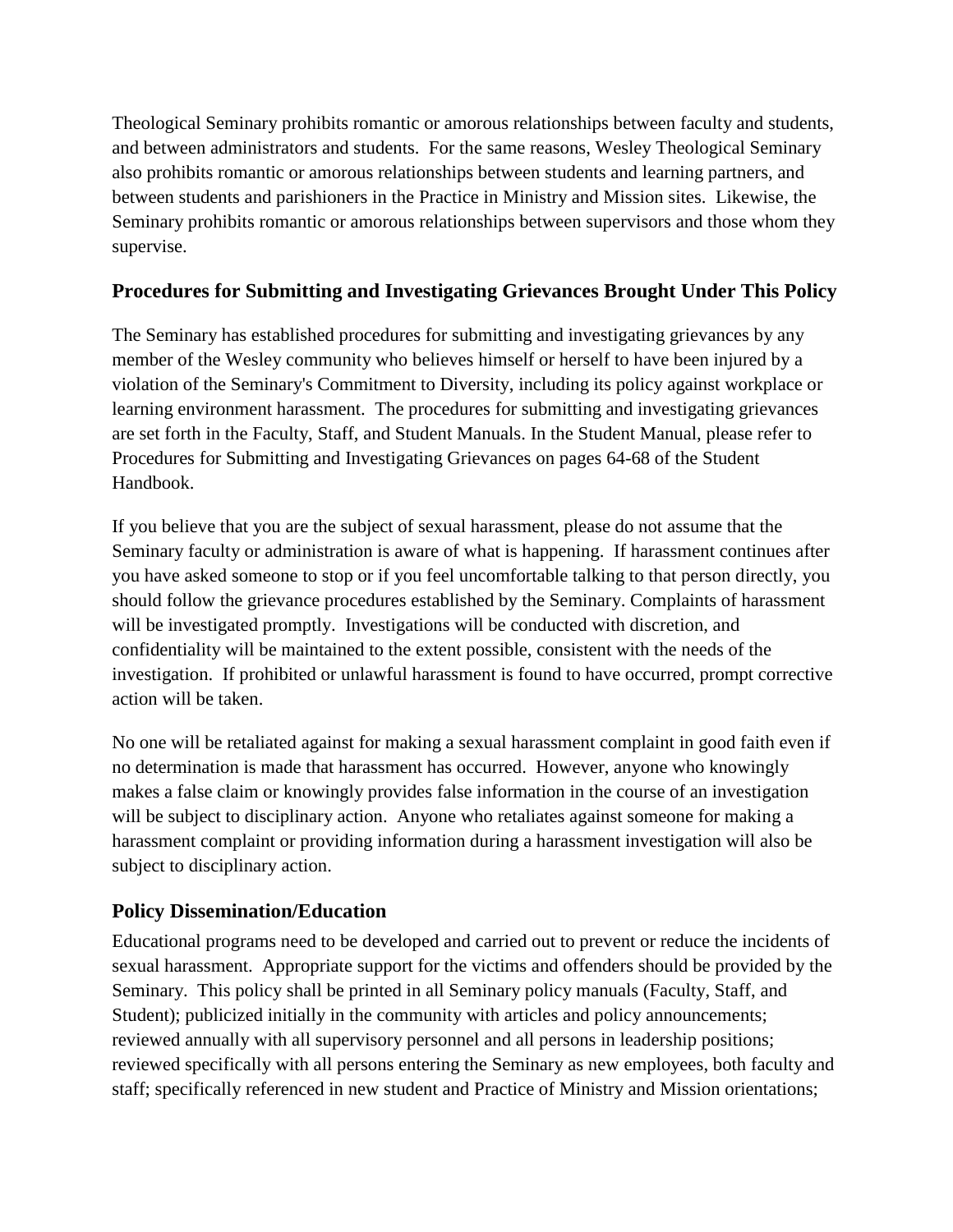Theological Seminary prohibits romantic or amorous relationships between faculty and students, and between administrators and students. For the same reasons, Wesley Theological Seminary also prohibits romantic or amorous relationships between students and learning partners, and between students and parishioners in the Practice in Ministry and Mission sites. Likewise, the Seminary prohibits romantic or amorous relationships between supervisors and those whom they supervise.

#### <span id="page-14-0"></span>**Procedures for Submitting and Investigating Grievances Brought Under This Policy**

The Seminary has established procedures for submitting and investigating grievances by any member of the Wesley community who believes himself or herself to have been injured by a violation of the Seminary's Commitment to Diversity, including its policy against workplace or learning environment harassment. The procedures for submitting and investigating grievances are set forth in the Faculty, Staff, and Student Manuals. In the Student Manual, please refer to Procedures for Submitting and Investigating Grievances on pages 64-68 of the Student Handbook.

If you believe that you are the subject of sexual harassment, please do not assume that the Seminary faculty or administration is aware of what is happening. If harassment continues after you have asked someone to stop or if you feel uncomfortable talking to that person directly, you should follow the grievance procedures established by the Seminary. Complaints of harassment will be investigated promptly. Investigations will be conducted with discretion, and confidentiality will be maintained to the extent possible, consistent with the needs of the investigation. If prohibited or unlawful harassment is found to have occurred, prompt corrective action will be taken.

No one will be retaliated against for making a sexual harassment complaint in good faith even if no determination is made that harassment has occurred. However, anyone who knowingly makes a false claim or knowingly provides false information in the course of an investigation will be subject to disciplinary action. Anyone who retaliates against someone for making a harassment complaint or providing information during a harassment investigation will also be subject to disciplinary action.

#### <span id="page-14-1"></span>**Policy Dissemination/Education**

Educational programs need to be developed and carried out to prevent or reduce the incidents of sexual harassment. Appropriate support for the victims and offenders should be provided by the Seminary. This policy shall be printed in all Seminary policy manuals (Faculty, Staff, and Student); publicized initially in the community with articles and policy announcements; reviewed annually with all supervisory personnel and all persons in leadership positions; reviewed specifically with all persons entering the Seminary as new employees, both faculty and staff; specifically referenced in new student and Practice of Ministry and Mission orientations;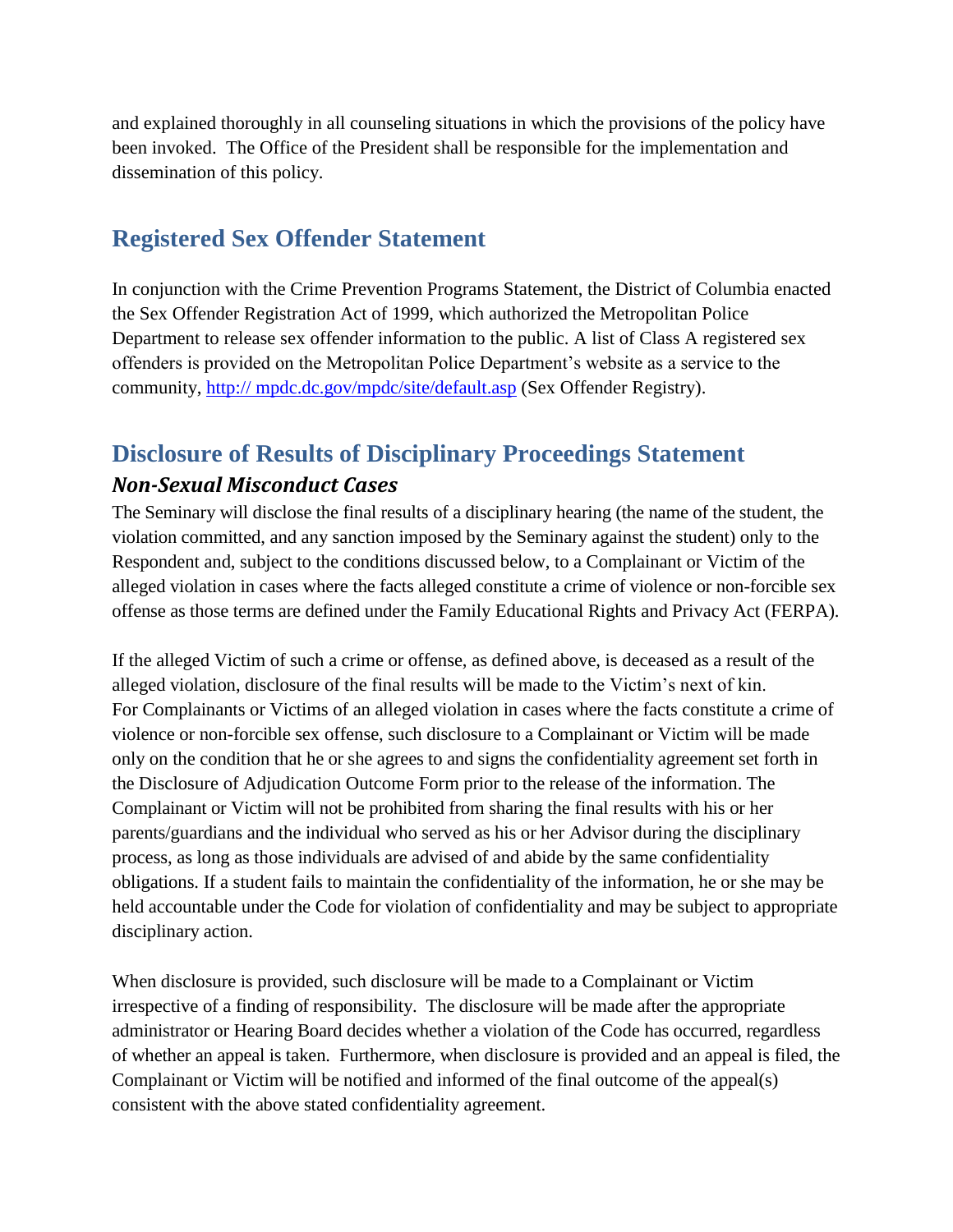and explained thoroughly in all counseling situations in which the provisions of the policy have been invoked. The Office of the President shall be responsible for the implementation and dissemination of this policy.

## <span id="page-15-0"></span>**Registered Sex Offender Statement**

In conjunction with the Crime Prevention Programs Statement, the District of Columbia enacted the Sex Offender Registration Act of 1999, which authorized the Metropolitan Police Department to release sex offender information to the public. A list of Class A registered sex offenders is provided on the Metropolitan Police Department's website as a service to the community, http:// mpdc.dc.gov/mpdc/site/default.asp (Sex Offender Registry).

# <span id="page-15-1"></span>**Disclosure of Results of Disciplinary Proceedings Statement**

### <span id="page-15-2"></span>*Non-Sexual Misconduct Cases*

The Seminary will disclose the final results of a disciplinary hearing (the name of the student, the violation committed, and any sanction imposed by the Seminary against the student) only to the Respondent and, subject to the conditions discussed below, to a Complainant or Victim of the alleged violation in cases where the facts alleged constitute a crime of violence or non-forcible sex offense as those terms are defined under the Family Educational Rights and Privacy Act (FERPA).

If the alleged Victim of such a crime or offense, as defined above, is deceased as a result of the alleged violation, disclosure of the final results will be made to the Victim's next of kin. For Complainants or Victims of an alleged violation in cases where the facts constitute a crime of violence or non-forcible sex offense, such disclosure to a Complainant or Victim will be made only on the condition that he or she agrees to and signs the confidentiality agreement set forth in the Disclosure of Adjudication Outcome Form prior to the release of the information. The Complainant or Victim will not be prohibited from sharing the final results with his or her parents/guardians and the individual who served as his or her Advisor during the disciplinary process, as long as those individuals are advised of and abide by the same confidentiality obligations. If a student fails to maintain the confidentiality of the information, he or she may be held accountable under the Code for violation of confidentiality and may be subject to appropriate disciplinary action.

When disclosure is provided, such disclosure will be made to a Complainant or Victim irrespective of a finding of responsibility. The disclosure will be made after the appropriate administrator or Hearing Board decides whether a violation of the Code has occurred, regardless of whether an appeal is taken. Furthermore, when disclosure is provided and an appeal is filed, the Complainant or Victim will be notified and informed of the final outcome of the appeal(s) consistent with the above stated confidentiality agreement.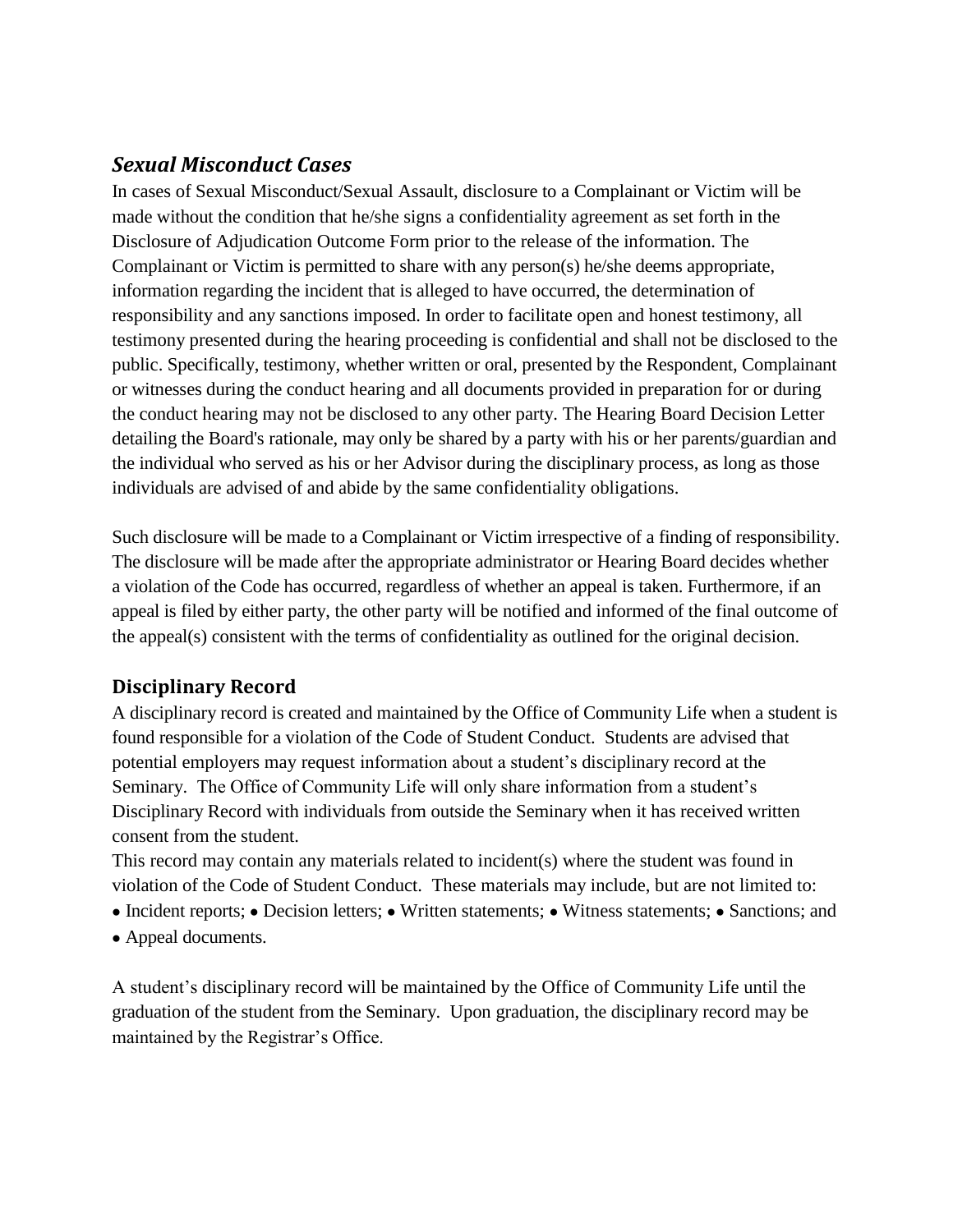### <span id="page-16-0"></span>*Sexual Misconduct Cases*

In cases of Sexual Misconduct/Sexual Assault, disclosure to a Complainant or Victim will be made without the condition that he/she signs a confidentiality agreement as set forth in the Disclosure of Adjudication Outcome Form prior to the release of the information. The Complainant or Victim is permitted to share with any person(s) he/she deems appropriate, information regarding the incident that is alleged to have occurred, the determination of responsibility and any sanctions imposed. In order to facilitate open and honest testimony, all testimony presented during the hearing proceeding is confidential and shall not be disclosed to the public. Specifically, testimony, whether written or oral, presented by the Respondent, Complainant or witnesses during the conduct hearing and all documents provided in preparation for or during the conduct hearing may not be disclosed to any other party. The Hearing Board Decision Letter detailing the Board's rationale, may only be shared by a party with his or her parents/guardian and the individual who served as his or her Advisor during the disciplinary process, as long as those individuals are advised of and abide by the same confidentiality obligations.

Such disclosure will be made to a Complainant or Victim irrespective of a finding of responsibility. The disclosure will be made after the appropriate administrator or Hearing Board decides whether a violation of the Code has occurred, regardless of whether an appeal is taken. Furthermore, if an appeal is filed by either party, the other party will be notified and informed of the final outcome of the appeal(s) consistent with the terms of confidentiality as outlined for the original decision.

#### <span id="page-16-1"></span>**Disciplinary Record**

A disciplinary record is created and maintained by the Office of Community Life when a student is found responsible for a violation of the Code of Student Conduct. Students are advised that potential employers may request information about a student's disciplinary record at the Seminary. The Office of Community Life will only share information from a student's Disciplinary Record with individuals from outside the Seminary when it has received written consent from the student.

This record may contain any materials related to incident(s) where the student was found in violation of the Code of Student Conduct. These materials may include, but are not limited to:

- Incident reports; Decision letters; Written statements; Witness statements; Sanctions; and
- Appeal documents.

A student's disciplinary record will be maintained by the Office of Community Life until the graduation of the student from the Seminary. Upon graduation, the disciplinary record may be maintained by the Registrar's Office.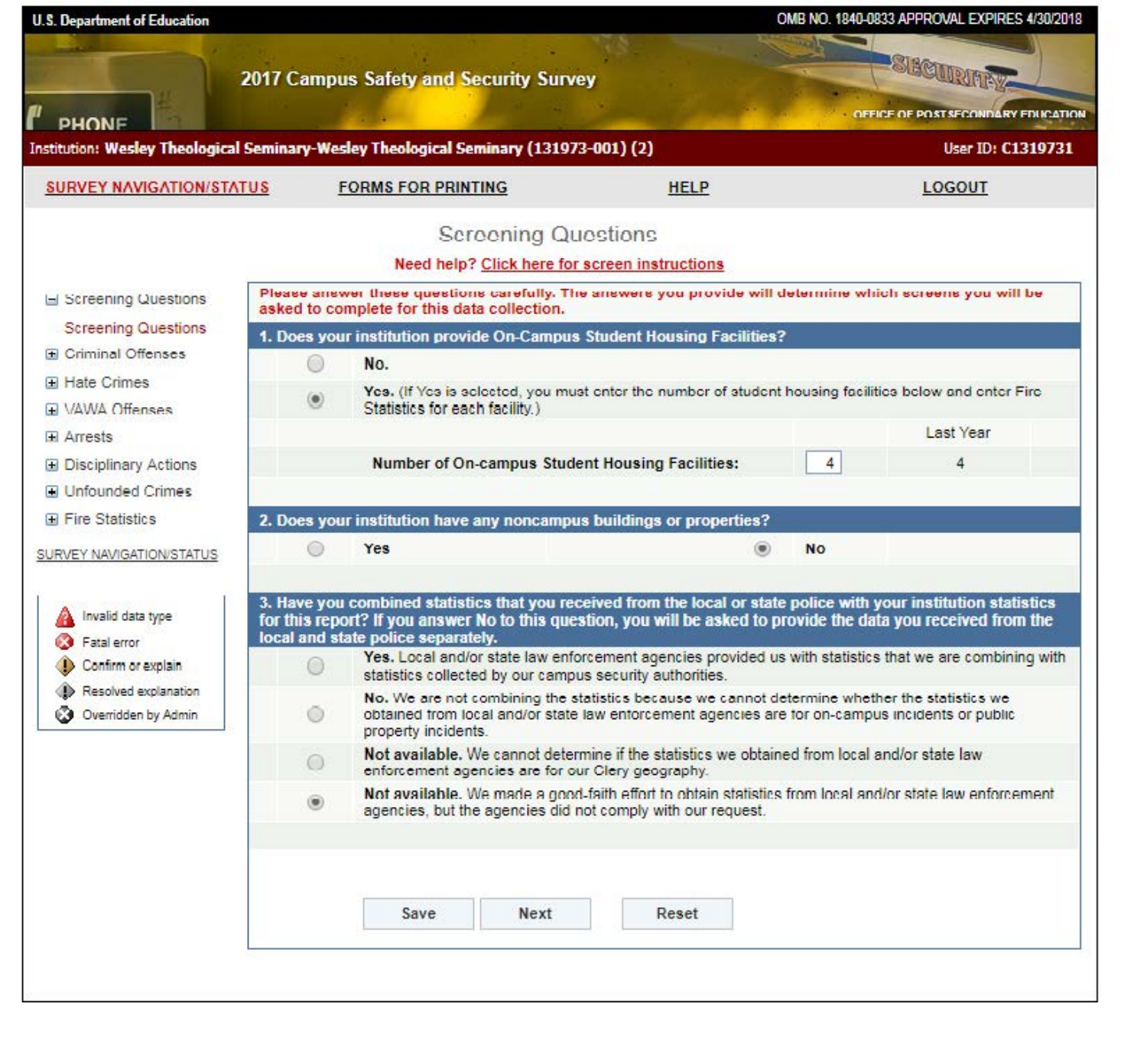| <b>PHONE</b><br><b>SURVEY NAVIGATION/STATUS</b><br>Screening Questions<br><b>Screening Questions</b><br><b>El Criminal Offenses</b><br><b>El Hate Crimes</b><br><b>H VAWA Offenses</b> | 2017 Campus Safety and Security Survey<br><b>FORMS FOR PRINTING</b><br><b>Screening Questions</b><br>Need help? Click here for screen instructions<br>Please answer these questions carefully. The answers you provide will determine which screens you will be<br>asked to complete for this data collection.<br>1. Does your institution provide On-Campus Student Housing Facilities?<br>No.<br>$\left( \bullet \right)$<br>Statistics for each facility.) | <b>HELP</b>                                                                                                                                                                                      | <b>SIBCURIARY</b><br>OFFICE OF POST SECONDARY EDUCATION<br>User ID: C1319731<br><b>LOGOUT</b>            |
|----------------------------------------------------------------------------------------------------------------------------------------------------------------------------------------|---------------------------------------------------------------------------------------------------------------------------------------------------------------------------------------------------------------------------------------------------------------------------------------------------------------------------------------------------------------------------------------------------------------------------------------------------------------|--------------------------------------------------------------------------------------------------------------------------------------------------------------------------------------------------|----------------------------------------------------------------------------------------------------------|
| Institution: Wesley Theological Seminary-Wesley Theological Seminary (131973-001) (2)                                                                                                  |                                                                                                                                                                                                                                                                                                                                                                                                                                                               |                                                                                                                                                                                                  |                                                                                                          |
|                                                                                                                                                                                        |                                                                                                                                                                                                                                                                                                                                                                                                                                                               |                                                                                                                                                                                                  |                                                                                                          |
|                                                                                                                                                                                        |                                                                                                                                                                                                                                                                                                                                                                                                                                                               |                                                                                                                                                                                                  |                                                                                                          |
|                                                                                                                                                                                        |                                                                                                                                                                                                                                                                                                                                                                                                                                                               |                                                                                                                                                                                                  |                                                                                                          |
|                                                                                                                                                                                        |                                                                                                                                                                                                                                                                                                                                                                                                                                                               |                                                                                                                                                                                                  |                                                                                                          |
|                                                                                                                                                                                        |                                                                                                                                                                                                                                                                                                                                                                                                                                                               |                                                                                                                                                                                                  |                                                                                                          |
|                                                                                                                                                                                        |                                                                                                                                                                                                                                                                                                                                                                                                                                                               |                                                                                                                                                                                                  |                                                                                                          |
|                                                                                                                                                                                        |                                                                                                                                                                                                                                                                                                                                                                                                                                                               |                                                                                                                                                                                                  |                                                                                                          |
|                                                                                                                                                                                        |                                                                                                                                                                                                                                                                                                                                                                                                                                                               |                                                                                                                                                                                                  |                                                                                                          |
|                                                                                                                                                                                        |                                                                                                                                                                                                                                                                                                                                                                                                                                                               |                                                                                                                                                                                                  | Yes, (If Yes is selected, you must enter the number of student housing facilities below and enter Fire   |
| $\overline{H}$ Arrests                                                                                                                                                                 |                                                                                                                                                                                                                                                                                                                                                                                                                                                               |                                                                                                                                                                                                  | Last Year                                                                                                |
| <b>El Disciplinary Actions</b>                                                                                                                                                         | <b>Number of On-campus Student Housing Facilities:</b>                                                                                                                                                                                                                                                                                                                                                                                                        |                                                                                                                                                                                                  | 4<br>4                                                                                                   |
| <b>El Unfounded Crimes</b>                                                                                                                                                             |                                                                                                                                                                                                                                                                                                                                                                                                                                                               |                                                                                                                                                                                                  |                                                                                                          |
| <b>El Fire Statistics</b>                                                                                                                                                              | 2. Does your institution have any noncampus buildings or properties?                                                                                                                                                                                                                                                                                                                                                                                          |                                                                                                                                                                                                  |                                                                                                          |
| SURVEY NAVIGATION/STATUS                                                                                                                                                               | Yes                                                                                                                                                                                                                                                                                                                                                                                                                                                           | <b>No</b><br>$\circledast$                                                                                                                                                                       |                                                                                                          |
| Invalid data type<br>Fatal error                                                                                                                                                       | 3. Have you combined statistics that you received from the local or state police with your institution statistics<br>for this report? If you answer No to this question, you will be asked to provide the data you received from the<br>local and state police separately.                                                                                                                                                                                    |                                                                                                                                                                                                  |                                                                                                          |
| Confirm or explain                                                                                                                                                                     | statistics collected by our campus security authorities.                                                                                                                                                                                                                                                                                                                                                                                                      |                                                                                                                                                                                                  | Yes, Local and/or state law enforcement agencies provided us with statistics that we are combining with  |
| Resolved explanation<br><b>3</b> Overridden by Admin                                                                                                                                   | property incidents.                                                                                                                                                                                                                                                                                                                                                                                                                                           | No. We are not combining the statistics because we cannot determine whether the statistics we<br>obtained from local and/or state law enforcement agencies are for on-campus incidents or public |                                                                                                          |
|                                                                                                                                                                                        | $\left( \quad \right)$<br>enforcement agencies are for our Clery geography.                                                                                                                                                                                                                                                                                                                                                                                   | Not available. We cannot determine if the statistics we obtained from local and/or state law                                                                                                     |                                                                                                          |
|                                                                                                                                                                                        | (4)<br>agencies, but the agencies did not comply with our request.                                                                                                                                                                                                                                                                                                                                                                                            |                                                                                                                                                                                                  | Not available. We made a good-faith effort to obtain statistics from local and/or state law enforcement. |
|                                                                                                                                                                                        | Save<br><b>Next</b>                                                                                                                                                                                                                                                                                                                                                                                                                                           | Reset                                                                                                                                                                                            |                                                                                                          |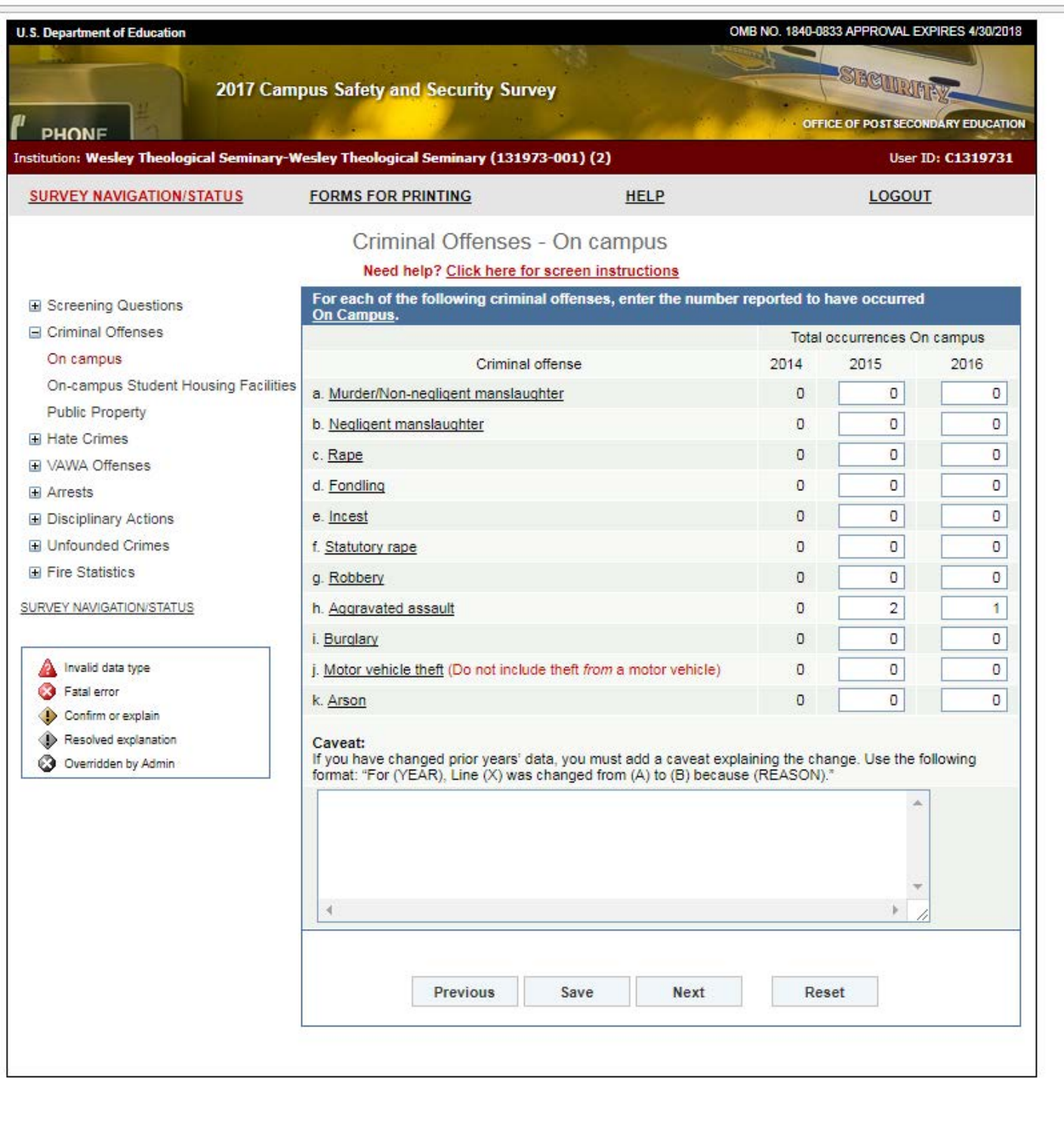|                                                                                 | 2017 Campus Safety and Security Survey                                                                                                                                                           |             |                |                                    | SECURITY<br>OFFICE OF POST SECONDARY EDUCATION |  |  |
|---------------------------------------------------------------------------------|--------------------------------------------------------------------------------------------------------------------------------------------------------------------------------------------------|-------------|----------------|------------------------------------|------------------------------------------------|--|--|
| <b>PHONE</b>                                                                    | Institution: Wesley Theological Seminary-Wesley Theological Seminary (131973-001) (2)                                                                                                            |             |                |                                    | User ID: C1319731                              |  |  |
| <b>SURVEY NAVIGATION/STATUS</b>                                                 | <b>FORMS FOR PRINTING</b>                                                                                                                                                                        | <b>HELP</b> |                | <b>LOGOUT</b>                      |                                                |  |  |
|                                                                                 | Criminal Offenses - On campus                                                                                                                                                                    |             |                |                                    |                                                |  |  |
|                                                                                 | Need help? Click here for screen instructions                                                                                                                                                    |             |                |                                    |                                                |  |  |
| El Screening Questions                                                          | For each of the following criminal offenses, enter the number reported to have occurred<br>On Campus.                                                                                            |             |                |                                    |                                                |  |  |
| □ Criminal Offenses                                                             |                                                                                                                                                                                                  |             |                | <b>Total occurrences On campus</b> |                                                |  |  |
| On campus                                                                       | Criminal offense                                                                                                                                                                                 |             | 2014           | 2015                               | 2016                                           |  |  |
| On-campus Student Housing Facilities                                            | a. Murder/Non-negligent manslaughter                                                                                                                                                             |             | 0              | O                                  | 0                                              |  |  |
| <b>Public Property</b><br><b>Hate Crimes</b>                                    | b. Negligent manslaughter                                                                                                                                                                        |             | O              | o                                  | 0                                              |  |  |
| H VAWA Offenses                                                                 | c. Rape                                                                                                                                                                                          |             | O              | O                                  | O                                              |  |  |
| <b>H</b> Arrests                                                                | d. Fondling                                                                                                                                                                                      |             | 0              | O                                  | 0                                              |  |  |
| <b>El Disciplinary Actions</b>                                                  | e. Incest                                                                                                                                                                                        |             | $\overline{0}$ | O                                  | O                                              |  |  |
| <b>El Unfounded Crimes</b><br><b>El Fire Statistics</b>                         | f. Statutory rape                                                                                                                                                                                |             | O              | O                                  | O                                              |  |  |
|                                                                                 | g. Robbery                                                                                                                                                                                       |             | 0              | O                                  | 0                                              |  |  |
| SURVEY NAVIGATION/STATUS                                                        | h. Aggravated assault                                                                                                                                                                            |             | O              | 2                                  | 1                                              |  |  |
|                                                                                 | i. Burglary                                                                                                                                                                                      |             | 0              | O                                  | 0                                              |  |  |
| Invalid data type                                                               | j. Motor vehicle theft (Do not include theft from a motor vehicle)                                                                                                                               |             | O              | o                                  | 0                                              |  |  |
| Fatal error                                                                     | k. Arson                                                                                                                                                                                         |             | $\overline{0}$ | 0                                  | O                                              |  |  |
| Confirm or explain<br>Resolved explanation<br>⊕<br><b>3</b> Overridden by Admin | Caveat:<br>If you have changed prior years' data, you must add a caveat explaining the change. Use the following<br>format: "For (YEAR), Line (X) was changed from (A) to (B) because (REASON)." |             |                |                                    |                                                |  |  |
|                                                                                 | A.                                                                                                                                                                                               |             |                |                                    |                                                |  |  |
|                                                                                 | Previous<br>Save                                                                                                                                                                                 | <b>Next</b> | Reset          |                                    |                                                |  |  |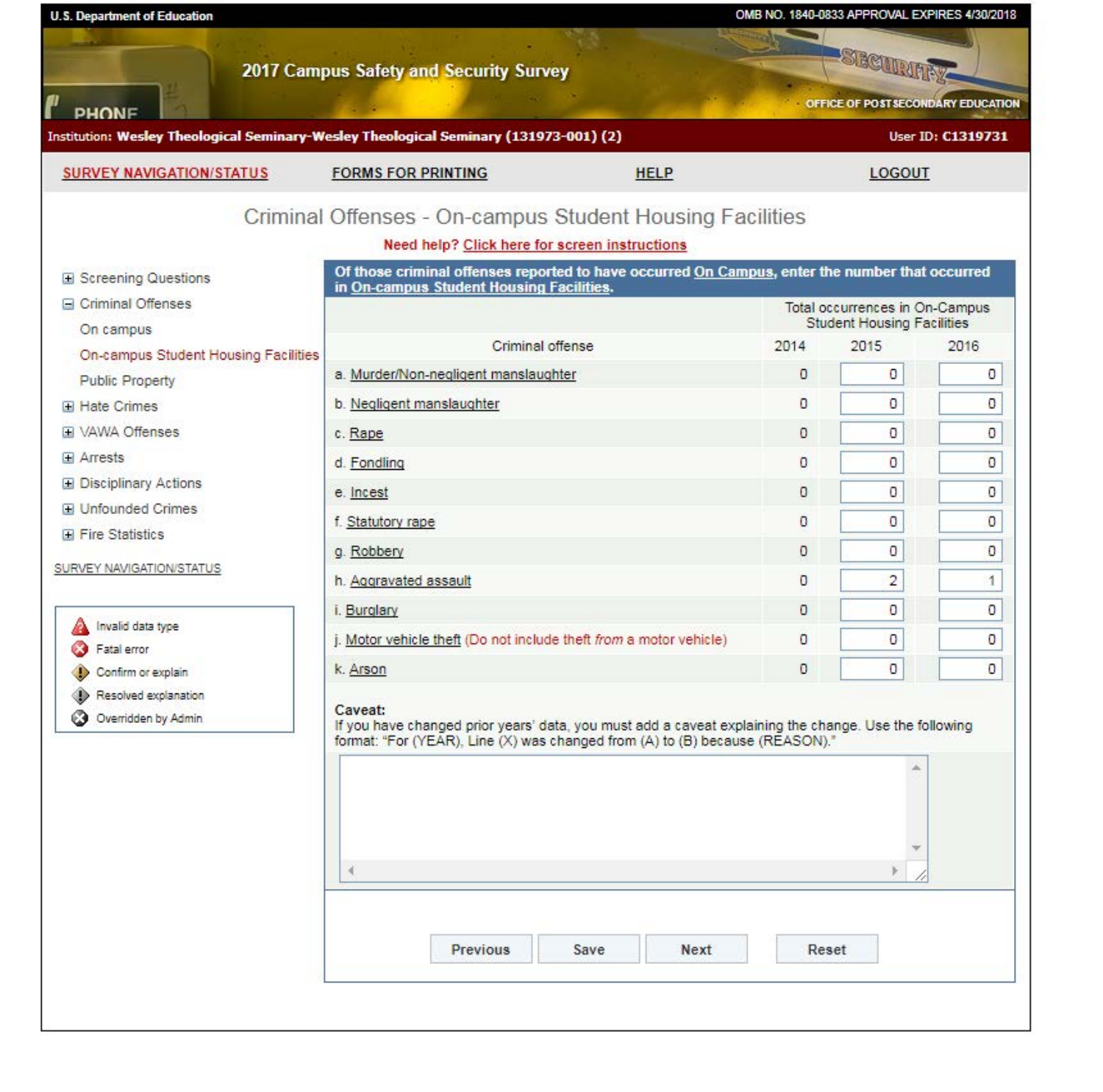| <b>U.S. Department of Education</b>                                                   |             |                                                                                                                                                                                             |                                                                                                                                                            |          | OMB NO. 1840-0833 APPROVAL EXPIRES 4/30/2018   |                   |  |  |
|---------------------------------------------------------------------------------------|-------------|---------------------------------------------------------------------------------------------------------------------------------------------------------------------------------------------|------------------------------------------------------------------------------------------------------------------------------------------------------------|----------|------------------------------------------------|-------------------|--|--|
| PHONE                                                                                 |             | 2017 Campus Safety and Security Survey                                                                                                                                                      |                                                                                                                                                            |          | SECURITY<br>OFFICE OF POST SECONDARY EDUCATION |                   |  |  |
| Institution: Wesley Theological Seminary-Wesley Theological Seminary (131973-001) (2) |             |                                                                                                                                                                                             |                                                                                                                                                            |          |                                                | User ID: C1319731 |  |  |
| <b>SURVEY NAVIGATION/STATUS</b>                                                       |             | <b>FORMS FOR PRINTING</b>                                                                                                                                                                   | <b>HELP</b>                                                                                                                                                |          | <b>LOGOUT</b>                                  |                   |  |  |
| Screening Questions                                                                   |             | Need help? Click here for screen instructions                                                                                                                                               | Criminal Offenses - On-campus Student Housing Facilities<br>Of those criminal offenses reported to have occurred On Campus, enter the number that occurred |          |                                                |                   |  |  |
| □ Criminal Offenses                                                                   |             | in On-campus Student Housing Facilities.                                                                                                                                                    |                                                                                                                                                            |          | Total occurrences in On-Campus                 |                   |  |  |
| On campus                                                                             |             | Criminal offense                                                                                                                                                                            |                                                                                                                                                            | 2014     | <b>Student Housing Facilities</b><br>2015      | 2016              |  |  |
| On-campus Student Housing Facilities<br><b>Public Property</b>                        |             | a. Murder/Non-neqligent manslaughter                                                                                                                                                        |                                                                                                                                                            | O        | 0                                              | o                 |  |  |
| <b>El Hate Crimes</b>                                                                 |             | b. Negligent manslaughter                                                                                                                                                                   |                                                                                                                                                            | $\theta$ | O                                              | 0                 |  |  |
| <b>El VAWA Offenses</b>                                                               | c. Rape     |                                                                                                                                                                                             |                                                                                                                                                            | O        | O.                                             | O                 |  |  |
| $\overline{H}$ Arrests                                                                | d. Fondling |                                                                                                                                                                                             |                                                                                                                                                            | O        | 0                                              | O                 |  |  |
| <b>El Disciplinary Actions</b>                                                        | e. Incest   |                                                                                                                                                                                             |                                                                                                                                                            | 0        | 0                                              | o                 |  |  |
| <b>El Unfounded Crimes</b><br><b>E</b> Fire Statistics<br>SURVEY NAVIGATION/STATUS    |             | f. Statutory rape                                                                                                                                                                           |                                                                                                                                                            |          | 0                                              | 0                 |  |  |
|                                                                                       |             | g. Robbery                                                                                                                                                                                  |                                                                                                                                                            |          | 0                                              | O                 |  |  |
|                                                                                       |             | h. Aggravated assault                                                                                                                                                                       |                                                                                                                                                            |          | $\overline{2}$                                 | 1                 |  |  |
|                                                                                       |             | i. Burglary                                                                                                                                                                                 |                                                                                                                                                            |          | 0                                              | o                 |  |  |
| Invalid data type<br>Fatal error                                                      |             | j. Motor vehicle theft (Do not include theft from a motor vehicle)                                                                                                                          |                                                                                                                                                            |          | O                                              | 0                 |  |  |
| Confirm or explain                                                                    | k. Arson    |                                                                                                                                                                                             |                                                                                                                                                            | O        | O                                              | o                 |  |  |
| Resolved explanation<br><b>3</b> Overridden by Admin                                  | Caveat:     | If you have changed prior years' data, you must add a caveat explaining the change. Use the following<br>format: "For (YEAR), Line (X) was changed from (A) to (B) because (REASON)."<br>a. |                                                                                                                                                            |          |                                                |                   |  |  |
|                                                                                       | к           |                                                                                                                                                                                             |                                                                                                                                                            |          |                                                |                   |  |  |
|                                                                                       |             | <b>Previous</b>                                                                                                                                                                             | Save<br><b>Next</b>                                                                                                                                        | Reset    |                                                |                   |  |  |